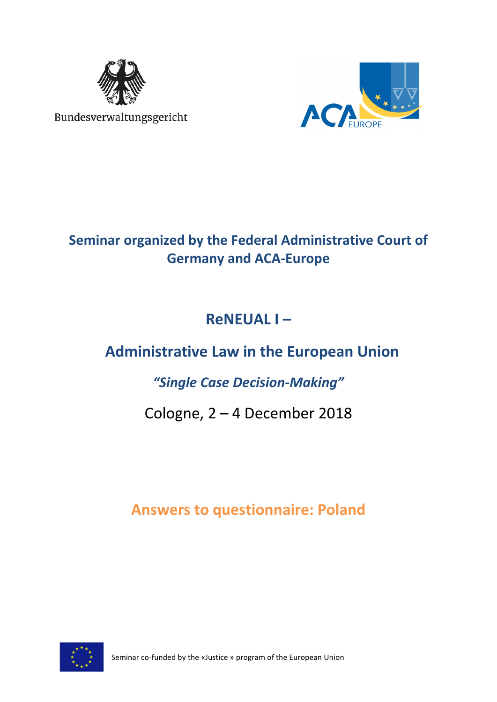

Bundesverwaltungsgericht



# **Seminar organized by the Federal Administrative Court of Germany and ACA-Europe**

# **ReNEUAL I –**

# **Administrative Law in the European Union**

# *"Single Case Decision-Making"*

# Cologne, 2 – 4 December 2018

# **Answers to questionnaire: Poland**



Seminar co-funded by the «Justice » program of the European Union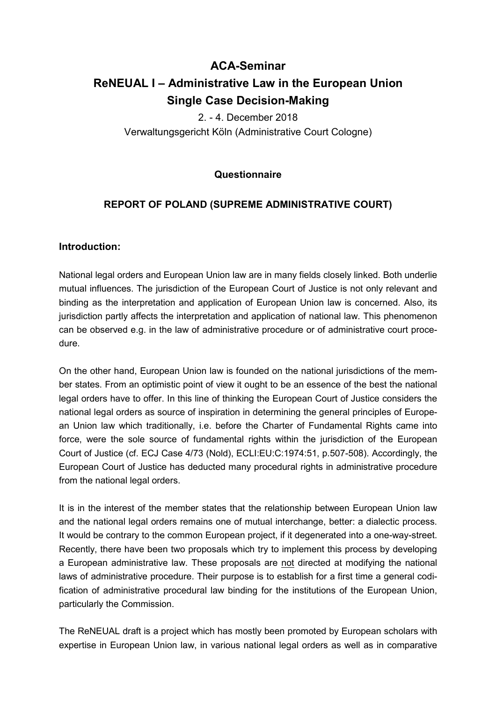# **ACA-Seminar ReNEUAL I – Administrative Law in the European Union Single Case Decision-Making**

2. - 4. December 2018 Verwaltungsgericht Köln (Administrative Court Cologne)

# **Questionnaire**

# **REPORT OF POLAND (SUPREME ADMINISTRATIVE COURT)**

## **Introduction:**

National legal orders and European Union law are in many fields closely linked. Both underlie mutual influences. The jurisdiction of the European Court of Justice is not only relevant and binding as the interpretation and application of European Union law is concerned. Also, its jurisdiction partly affects the interpretation and application of national law. This phenomenon can be observed e.g. in the law of administrative procedure or of administrative court procedure.

On the other hand, European Union law is founded on the national jurisdictions of the member states. From an optimistic point of view it ought to be an essence of the best the national legal orders have to offer. In this line of thinking the European Court of Justice considers the national legal orders as source of inspiration in determining the general principles of European Union law which traditionally, i.e. before the Charter of Fundamental Rights came into force, were the sole source of fundamental rights within the jurisdiction of the European Court of Justice (cf. ECJ Case 4/73 (Nold), ECLI:EU:C:1974:51, p.507-508). Accordingly, the European Court of Justice has deducted many procedural rights in administrative procedure from the national legal orders.

It is in the interest of the member states that the relationship between European Union law and the national legal orders remains one of mutual interchange, better: a dialectic process. It would be contrary to the common European project, if it degenerated into a one-way-street. Recently, there have been two proposals which try to implement this process by developing a European administrative law. These proposals are not directed at modifying the national laws of administrative procedure. Their purpose is to establish for a first time a general codification of administrative procedural law binding for the institutions of the European Union, particularly the Commission.

The ReNEUAL draft is a project which has mostly been promoted by European scholars with expertise in European Union law, in various national legal orders as well as in comparative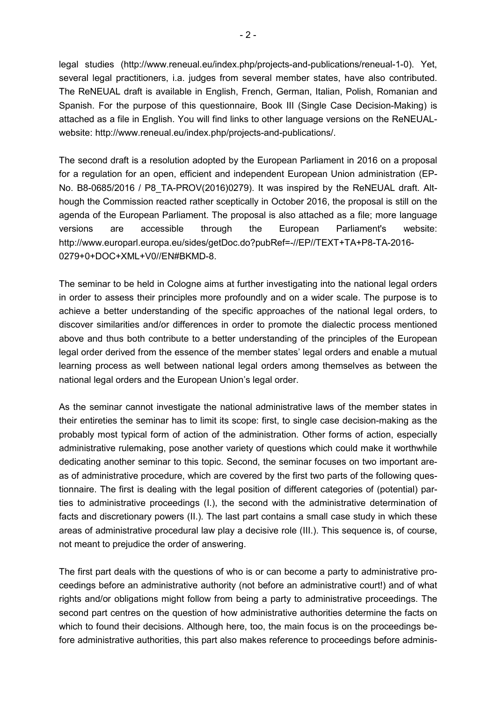legal studies (http://www.reneual.eu/index.php/projects-and-publications/reneual-1-0). Yet, several legal practitioners, i.a. judges from several member states, have also contributed. The ReNEUAL draft is available in English, French, German, Italian, Polish, Romanian and Spanish. For the purpose of this questionnaire, Book III (Single Case Decision-Making) is attached as a file in English. You will find links to other language versions on the ReNEUALwebsite: http://www.reneual.eu/index.php/projects-and-publications/.

The second draft is a resolution adopted by the European Parliament in 2016 on a proposal for a regulation for an open, efficient and independent European Union administration (EP-No. B8-0685/2016 / P8\_TA-PROV(2016)0279). It was inspired by the ReNEUAL draft. Although the Commission reacted rather sceptically in October 2016, the proposal is still on the agenda of the European Parliament. The proposal is also attached as a file; more language versions are accessible through the European Parliament's website: http://www.europarl.europa.eu/sides/getDoc.do?pubRef=-//EP//TEXT+TA+P8-TA-2016- 0279+0+DOC+XML+V0//EN#BKMD-8.

The seminar to be held in Cologne aims at further investigating into the national legal orders in order to assess their principles more profoundly and on a wider scale. The purpose is to achieve a better understanding of the specific approaches of the national legal orders, to discover similarities and/or differences in order to promote the dialectic process mentioned above and thus both contribute to a better understanding of the principles of the European legal order derived from the essence of the member states' legal orders and enable a mutual learning process as well between national legal orders among themselves as between the national legal orders and the European Union's legal order.

As the seminar cannot investigate the national administrative laws of the member states in their entireties the seminar has to limit its scope: first, to single case decision-making as the probably most typical form of action of the administration. Other forms of action, especially administrative rulemaking, pose another variety of questions which could make it worthwhile dedicating another seminar to this topic. Second, the seminar focuses on two important areas of administrative procedure, which are covered by the first two parts of the following questionnaire. The first is dealing with the legal position of different categories of (potential) parties to administrative proceedings (I.), the second with the administrative determination of facts and discretionary powers (II.). The last part contains a small case study in which these areas of administrative procedural law play a decisive role (III.). This sequence is, of course, not meant to prejudice the order of answering.

The first part deals with the questions of who is or can become a party to administrative proceedings before an administrative authority (not before an administrative court!) and of what rights and/or obligations might follow from being a party to administrative proceedings. The second part centres on the question of how administrative authorities determine the facts on which to found their decisions. Although here, too, the main focus is on the proceedings before administrative authorities, this part also makes reference to proceedings before adminis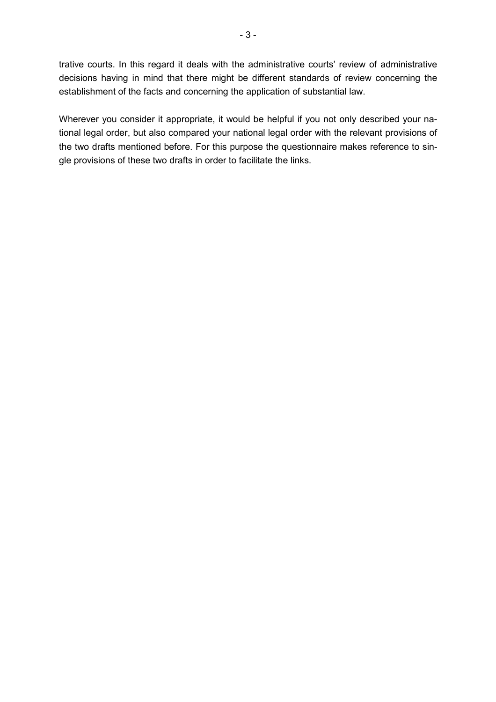trative courts. In this regard it deals with the administrative courts' review of administrative decisions having in mind that there might be different standards of review concerning the establishment of the facts and concerning the application of substantial law.

Wherever you consider it appropriate, it would be helpful if you not only described your national legal order, but also compared your national legal order with the relevant provisions of the two drafts mentioned before. For this purpose the questionnaire makes reference to single provisions of these two drafts in order to facilitate the links.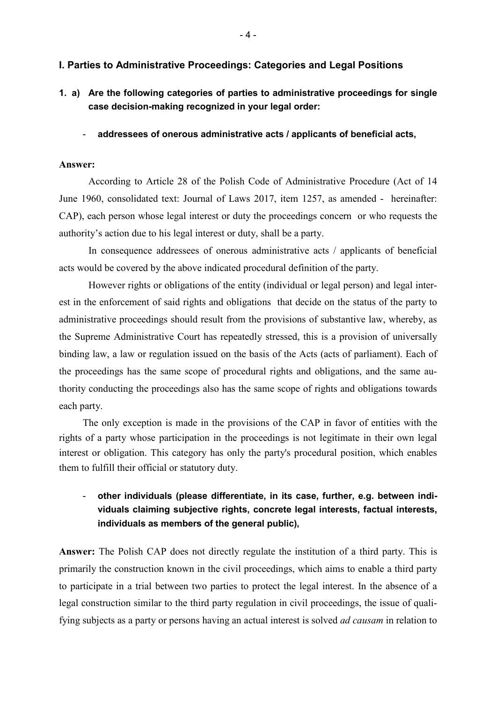## **I. Parties to Administrative Proceedings: Categories and Legal Positions**

- **1. a) Are the following categories of parties to administrative proceedings for single case decision-making recognized in your legal order:** 
	- **addressees of onerous administrative acts / applicants of beneficial acts,**

#### **Answer:**

 According to Article 28 of the Polish Code of Administrative Procedure (Act of 14 June 1960, consolidated text: Journal of Laws 2017, item 1257, as amended - hereinafter: CAP), each person whose legal interest or duty the proceedings concern or who requests the authority's action due to his legal interest or duty, shall be a party.

In consequence addressees of onerous administrative acts / applicants of beneficial acts would be covered by the above indicated procedural definition of the party.

However rights or obligations of the entity (individual or legal person) and legal interest in the enforcement of said rights and obligations that decide on the status of the party to administrative proceedings should result from the provisions of substantive law, whereby, as the Supreme Administrative Court has repeatedly stressed, this is a provision of universally binding law, a law or regulation issued on the basis of the Acts (acts of parliament). Each of the proceedings has the same scope of procedural rights and obligations, and the same authority conducting the proceedings also has the same scope of rights and obligations towards each party.

The only exception is made in the provisions of the CAP in favor of entities with the rights of a party whose participation in the proceedings is not legitimate in their own legal interest or obligation. This category has only the party's procedural position, which enables them to fulfill their official or statutory duty.

# - **other individuals (please differentiate, in its case, further, e.g. between individuals claiming subjective rights, concrete legal interests, factual interests, individuals as members of the general public),**

**Answer:** The Polish CAP does not directly regulate the institution of a third party. This is primarily the construction known in the civil proceedings, which aims to enable a third party to participate in a trial between two parties to protect the legal interest. In the absence of a legal construction similar to the third party regulation in civil proceedings, the issue of qualifying subjects as a party or persons having an actual interest is solved *ad causam* in relation to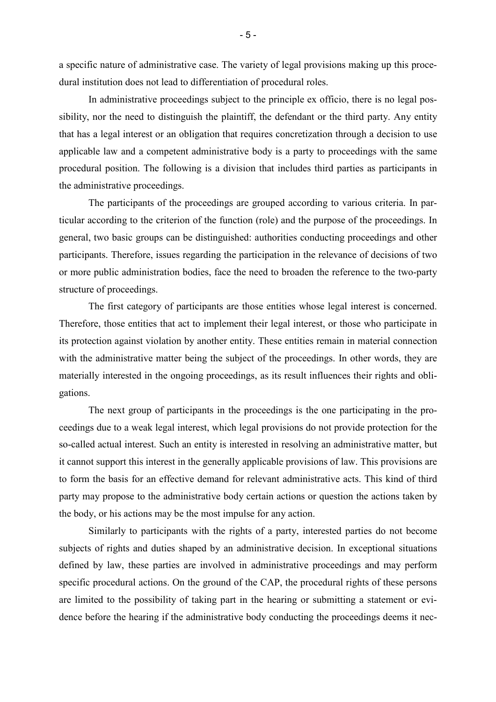a specific nature of administrative case. The variety of legal provisions making up this procedural institution does not lead to differentiation of procedural roles.

In administrative proceedings subject to the principle ex officio, there is no legal possibility, nor the need to distinguish the plaintiff, the defendant or the third party. Any entity that has a legal interest or an obligation that requires concretization through a decision to use applicable law and a competent administrative body is a party to proceedings with the same procedural position. The following is a division that includes third parties as participants in the administrative proceedings.

The participants of the proceedings are grouped according to various criteria. In particular according to the criterion of the function (role) and the purpose of the proceedings. In general, two basic groups can be distinguished: authorities conducting proceedings and other participants. Therefore, issues regarding the participation in the relevance of decisions of two or more public administration bodies, face the need to broaden the reference to the two-party structure of proceedings.

The first category of participants are those entities whose legal interest is concerned. Therefore, those entities that act to implement their legal interest, or those who participate in its protection against violation by another entity. These entities remain in material connection with the administrative matter being the subject of the proceedings. In other words, they are materially interested in the ongoing proceedings, as its result influences their rights and obligations.

The next group of participants in the proceedings is the one participating in the proceedings due to a weak legal interest, which legal provisions do not provide protection for the so-called actual interest. Such an entity is interested in resolving an administrative matter, but it cannot support this interest in the generally applicable provisions of law. This provisions are to form the basis for an effective demand for relevant administrative acts. This kind of third party may propose to the administrative body certain actions or question the actions taken by the body, or his actions may be the most impulse for any action.

Similarly to participants with the rights of a party, interested parties do not become subjects of rights and duties shaped by an administrative decision. In exceptional situations defined by law, these parties are involved in administrative proceedings and may perform specific procedural actions. On the ground of the CAP, the procedural rights of these persons are limited to the possibility of taking part in the hearing or submitting a statement or evidence before the hearing if the administrative body conducting the proceedings deems it nec-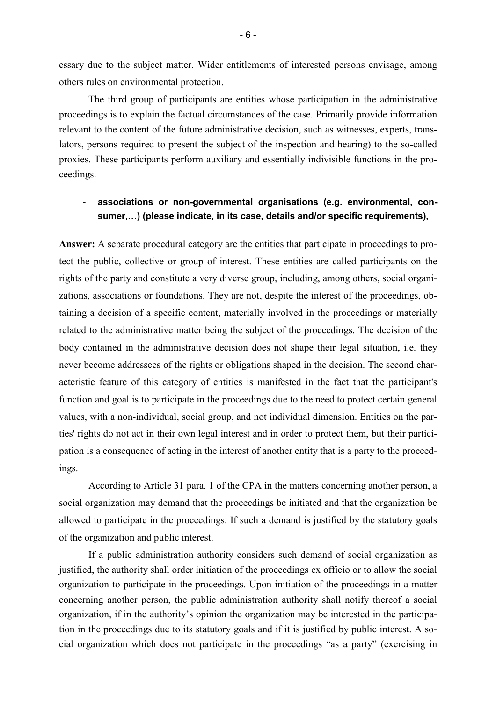essary due to the subject matter. Wider entitlements of interested persons envisage, among others rules on environmental protection.

The third group of participants are entities whose participation in the administrative proceedings is to explain the factual circumstances of the case. Primarily provide information relevant to the content of the future administrative decision, such as witnesses, experts, translators, persons required to present the subject of the inspection and hearing) to the so-called proxies. These participants perform auxiliary and essentially indivisible functions in the proceedings.

## - **associations or non-governmental organisations (e.g. environmental, con**sumer,...) (please indicate, in its case, details and/or specific requirements),

**Answer:** A separate procedural category are the entities that participate in proceedings to protect the public, collective or group of interest. These entities are called participants on the rights of the party and constitute a very diverse group, including, among others, social organizations, associations or foundations. They are not, despite the interest of the proceedings, obtaining a decision of a specific content, materially involved in the proceedings or materially related to the administrative matter being the subject of the proceedings. The decision of the body contained in the administrative decision does not shape their legal situation, i.e. they never become addressees of the rights or obligations shaped in the decision. The second characteristic feature of this category of entities is manifested in the fact that the participant's function and goal is to participate in the proceedings due to the need to protect certain general values, with a non-individual, social group, and not individual dimension. Entities on the parties' rights do not act in their own legal interest and in order to protect them, but their participation is a consequence of acting in the interest of another entity that is a party to the proceedings.

According to Article 31 para. 1 of the CPA in the matters concerning another person, a social organization may demand that the proceedings be initiated and that the organization be allowed to participate in the proceedings. If such a demand is justified by the statutory goals of the organization and public interest.

If a public administration authority considers such demand of social organization as justified, the authority shall order initiation of the proceedings ex officio or to allow the social organization to participate in the proceedings. Upon initiation of the proceedings in a matter concerning another person, the public administration authority shall notify thereof a social organization, if in the authority's opinion the organization may be interested in the participation in the proceedings due to its statutory goals and if it is justified by public interest. A social organization which does not participate in the proceedings "as a party" (exercising in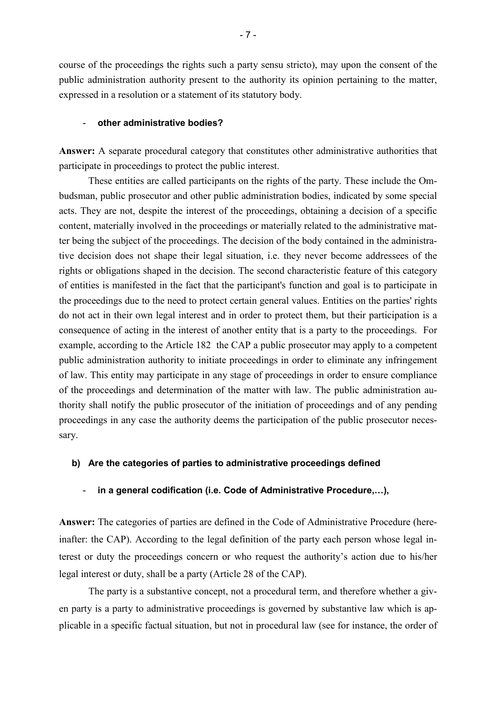course of the proceedings the rights such a party sensu stricto), may upon the consent of the public administration authority present to the authority its opinion pertaining to the matter, expressed in a resolution or a statement of its statutory body.

#### - **other administrative bodies?**

**Answer:** A separate procedural category that constitutes other administrative authorities that participate in proceedings to protect the public interest.

These entities are called participants on the rights of the party. These include the Ombudsman, public prosecutor and other public administration bodies, indicated by some special acts. They are not, despite the interest of the proceedings, obtaining a decision of a specific content, materially involved in the proceedings or materially related to the administrative matter being the subject of the proceedings. The decision of the body contained in the administrative decision does not shape their legal situation, i.e. they never become addressees of the rights or obligations shaped in the decision. The second characteristic feature of this category of entities is manifested in the fact that the participant's function and goal is to participate in the proceedings due to the need to protect certain general values. Entities on the parties' rights do not act in their own legal interest and in order to protect them, but their participation is a consequence of acting in the interest of another entity that is a party to the proceedings. For example, according to the Article 182 the CAP a public prosecutor may apply to a competent public administration authority to initiate proceedings in order to eliminate any infringement of law. This entity may participate in any stage of proceedings in order to ensure compliance of the proceedings and determination of the matter with law. The public administration authority shall notify the public prosecutor of the initiation of proceedings and of any pending proceedings in any case the authority deems the participation of the public prosecutor necessary.

#### **b) Are the categories of parties to administrative proceedings defined**

### in a general codification (i.e. Code of Administrative Procedure,...),

**Answer:** The categories of parties are defined in the Code of Administrative Procedure (hereinafter: the CAP). According to the legal definition of the party each person whose legal interest or duty the proceedings concern or who request the authority's action due to his/her legal interest or duty, shall be a party (Article 28 of the CAP).

The party is a substantive concept, not a procedural term, and therefore whether a given party is a party to administrative proceedings is governed by substantive law which is applicable in a specific factual situation, but not in procedural law (see for instance, the order of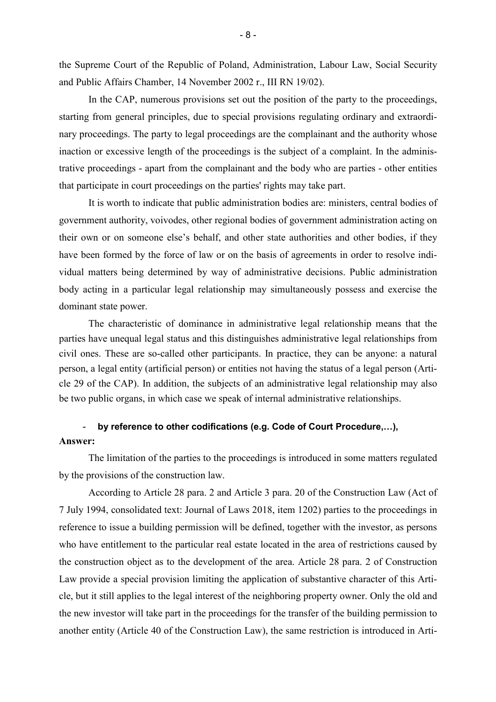the Supreme Court of the Republic of Poland, Administration, Labour Law, Social Security and Public Affairs Chamber, 14 November 2002 r., III RN 19/02).

In the CAP, numerous provisions set out the position of the party to the proceedings, starting from general principles, due to special provisions regulating ordinary and extraordinary proceedings. The party to legal proceedings are the complainant and the authority whose inaction or excessive length of the proceedings is the subject of a complaint. In the administrative proceedings - apart from the complainant and the body who are parties - other entities that participate in court proceedings on the parties' rights may take part.

It is worth to indicate that public administration bodies are: ministers, central bodies of government authority, voivodes, other regional bodies of government administration acting on their own or on someone else's behalf, and other state authorities and other bodies, if they have been formed by the force of law or on the basis of agreements in order to resolve individual matters being determined by way of administrative decisions. Public administration body acting in a particular legal relationship may simultaneously possess and exercise the dominant state power.

The characteristic of dominance in administrative legal relationship means that the parties have unequal legal status and this distinguishes administrative legal relationships from civil ones. These are so-called other participants. In practice, they can be anyone: a natural person, a legal entity (artificial person) or entities not having the status of a legal person (Article 29 of the CAP). In addition, the subjects of an administrative legal relationship may also be two public organs, in which case we speak of internal administrative relationships.

# - by reference to other codifications (e.g. Code of Court Procedure,...), **Answer:**

The limitation of the parties to the proceedings is introduced in some matters regulated by the provisions of the construction law.

According to Article 28 para. 2 and Article 3 para. 20 of the Construction Law (Act of 7 July 1994, consolidated text: Journal of Laws 2018, item 1202) parties to the proceedings in reference to issue a building permission will be defined, together with the investor, as persons who have entitlement to the particular real estate located in the area of restrictions caused by the construction object as to the development of the area. Article 28 para. 2 of Construction Law provide a special provision limiting the application of substantive character of this Article, but it still applies to the legal interest of the neighboring property owner. Only the old and the new investor will take part in the proceedings for the transfer of the building permission to another entity (Article 40 of the Construction Law), the same restriction is introduced in Arti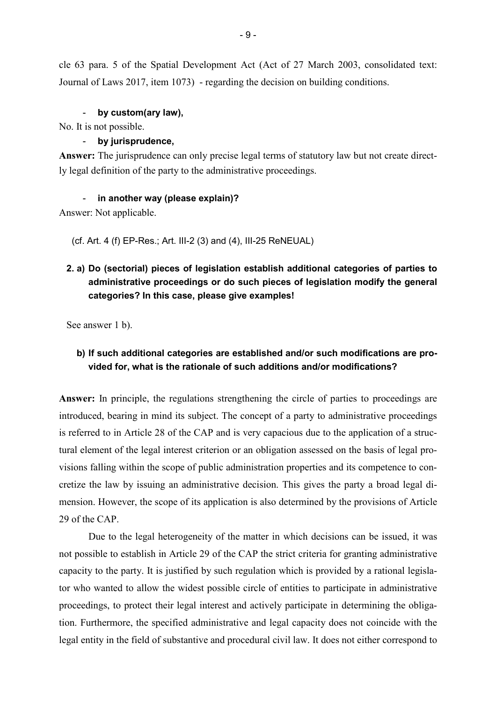cle 63 para. 5 of the Spatial Development Act (Act of 27 March 2003, consolidated text: Journal of Laws 2017, item 1073) - regarding the decision on building conditions.

## by custom(ary law),

No. It is not possible.

## - **by jurisprudence,**

**Answer:** The jurisprudence can only precise legal terms of statutory law but not create directly legal definition of the party to the administrative proceedings.

### - **in another way (please explain)?**

Answer: Not applicable.

(cf. Art. 4 (f) EP-Res.; Art. III-2 (3) and (4), III-25 ReNEUAL)

# **2. a) Do (sectorial) pieces of legislation establish additional categories of parties to administrative proceedings or do such pieces of legislation modify the general categories? In this case, please give examples!**

See answer 1 b).

# **b) If such additional categories are established and/or such modifications are provided for, what is the rationale of such additions and/or modifications?**

**Answer:** In principle, the regulations strengthening the circle of parties to proceedings are introduced, bearing in mind its subject. The concept of a party to administrative proceedings is referred to in Article 28 of the CAP and is very capacious due to the application of a structural element of the legal interest criterion or an obligation assessed on the basis of legal provisions falling within the scope of public administration properties and its competence to concretize the law by issuing an administrative decision. This gives the party a broad legal dimension. However, the scope of its application is also determined by the provisions of Article 29 of the CAP.

Due to the legal heterogeneity of the matter in which decisions can be issued, it was not possible to establish in Article 29 of the CAP the strict criteria for granting administrative capacity to the party. It is justified by such regulation which is provided by a rational legislator who wanted to allow the widest possible circle of entities to participate in administrative proceedings, to protect their legal interest and actively participate in determining the obligation. Furthermore, the specified administrative and legal capacity does not coincide with the legal entity in the field of substantive and procedural civil law. It does not either correspond to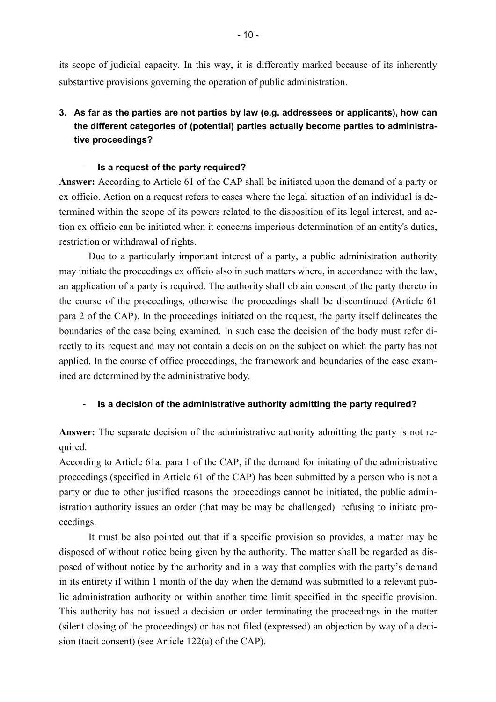its scope of judicial capacity. In this way, it is differently marked because of its inherently substantive provisions governing the operation of public administration.

# **3. As far as the parties are not parties by law (e.g. addressees or applicants), how can the different categories of (potential) parties actually become parties to administrative proceedings?**

### - **Is a request of the party required?**

**Answer:** According to Article 61 of the CAP shall be initiated upon the demand of a party or ex officio. Action on a request refers to cases where the legal situation of an individual is determined within the scope of its powers related to the disposition of its legal interest, and action ex officio can be initiated when it concerns imperious determination of an entity's duties, restriction or withdrawal of rights.

 Due to a particularly important interest of a party, a public administration authority may initiate the proceedings ex officio also in such matters where, in accordance with the law, an application of a party is required. The authority shall obtain consent of the party thereto in the course of the proceedings, otherwise the proceedings shall be discontinued (Article 61 para 2 of the CAP). In the proceedings initiated on the request, the party itself delineates the boundaries of the case being examined. In such case the decision of the body must refer directly to its request and may not contain a decision on the subject on which the party has not applied. In the course of office proceedings, the framework and boundaries of the case examined are determined by the administrative body.

## - **Is a decision of the administrative authority admitting the party required?**

**Answer:** The separate decision of the administrative authority admitting the party is not required.

According to Article 61a. para 1 of the CAP, if the demand for initating of the administrative proceedings (specified in Article 61 of the CAP) has been submitted by a person who is not a party or due to other justified reasons the proceedings cannot be initiated, the public administration authority issues an order (that may be may be challenged) refusing to initiate proceedings.

It must be also pointed out that if a specific provision so provides, a matter may be disposed of without notice being given by the authority. The matter shall be regarded as disposed of without notice by the authority and in a way that complies with the party's demand in its entirety if within 1 month of the day when the demand was submitted to a relevant public administration authority or within another time limit specified in the specific provision. This authority has not issued a decision or order terminating the proceedings in the matter (silent closing of the proceedings) or has not filed (expressed) an objection by way of a decision (tacit consent) (see Article 122(a) of the CAP).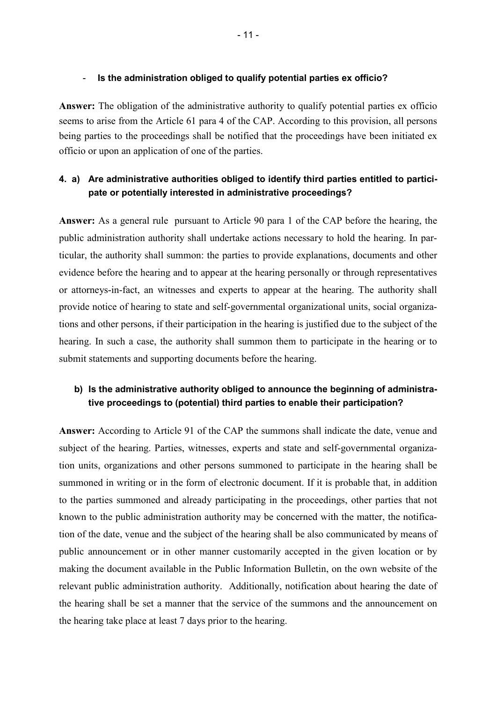### - **Is the administration obliged to qualify potential parties ex officio?**

**Answer:** The obligation of the administrative authority to qualify potential parties ex officio seems to arise from the Article 61 para 4 of the CAP. According to this provision, all persons being parties to the proceedings shall be notified that the proceedings have been initiated ex officio or upon an application of one of the parties.

# **4. a) Are administrative authorities obliged to identify third parties entitled to participate or potentially interested in administrative proceedings?**

**Answer:** As a general rule pursuant to Article 90 para 1 of the CAP before the hearing, the public administration authority shall undertake actions necessary to hold the hearing. In particular, the authority shall summon: the parties to provide explanations, documents and other evidence before the hearing and to appear at the hearing personally or through representatives or attorneys-in-fact, an witnesses and experts to appear at the hearing. The authority shall provide notice of hearing to state and self-governmental organizational units, social organizations and other persons, if their participation in the hearing is justified due to the subject of the hearing. In such a case, the authority shall summon them to participate in the hearing or to submit statements and supporting documents before the hearing.

# **b) Is the administrative authority obliged to announce the beginning of administrative proceedings to (potential) third parties to enable their participation?**

**Answer:** According to Article 91 of the CAP the summons shall indicate the date, venue and subject of the hearing. Parties, witnesses, experts and state and self-governmental organization units, organizations and other persons summoned to participate in the hearing shall be summoned in writing or in the form of electronic document. If it is probable that, in addition to the parties summoned and already participating in the proceedings, other parties that not known to the public administration authority may be concerned with the matter, the notification of the date, venue and the subject of the hearing shall be also communicated by means of public announcement or in other manner customarily accepted in the given location or by making the document available in the Public Information Bulletin, on the own website of the relevant public administration authority. Additionally, notification about hearing the date of the hearing shall be set a manner that the service of the summons and the announcement on the hearing take place at least 7 days prior to the hearing.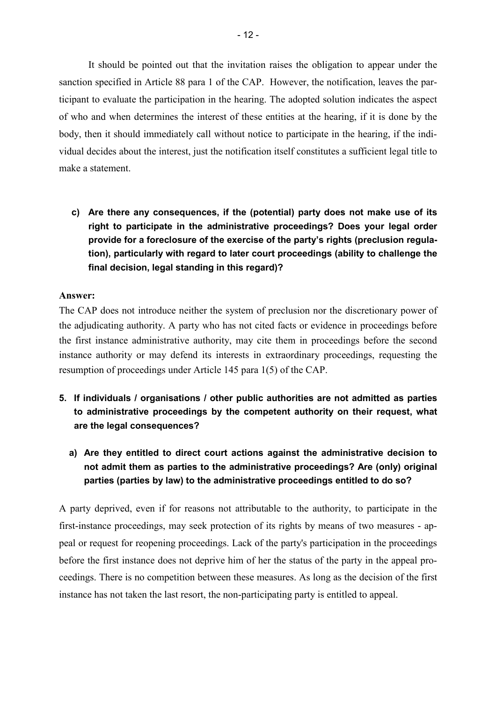It should be pointed out that the invitation raises the obligation to appear under the sanction specified in Article 88 para 1 of the CAP. However, the notification, leaves the participant to evaluate the participation in the hearing. The adopted solution indicates the aspect of who and when determines the interest of these entities at the hearing, if it is done by the body, then it should immediately call without notice to participate in the hearing, if the individual decides about the interest, just the notification itself constitutes a sufficient legal title to make a statement.

**c) Are there any consequences, if the (potential) party does not make use of its right to participate in the administrative proceedings? Does your legal order provide for a foreclosure of the exercise of the party's rights (preclusion regulation), particularly with regard to later court proceedings (ability to challenge the final decision, legal standing in this regard)?** 

### **Answer:**

The CAP does not introduce neither the system of preclusion nor the discretionary power of the adjudicating authority. A party who has not cited facts or evidence in proceedings before the first instance administrative authority, may cite them in proceedings before the second instance authority or may defend its interests in extraordinary proceedings, requesting the resumption of proceedings under Article 145 para 1(5) of the CAP.

- **5. If individuals / organisations / other public authorities are not admitted as parties to administrative proceedings by the competent authority on their request, what are the legal consequences?** 
	- **a) Are they entitled to direct court actions against the administrative decision to not admit them as parties to the administrative proceedings? Are (only) original parties (parties by law) to the administrative proceedings entitled to do so?**

A party deprived, even if for reasons not attributable to the authority, to participate in the first-instance proceedings, may seek protection of its rights by means of two measures - appeal or request for reopening proceedings. Lack of the party's participation in the proceedings before the first instance does not deprive him of her the status of the party in the appeal proceedings. There is no competition between these measures. As long as the decision of the first instance has not taken the last resort, the non-participating party is entitled to appeal.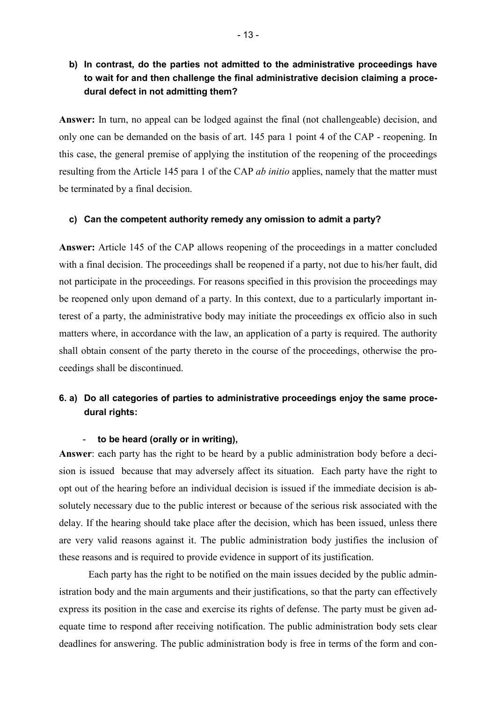# **b) In contrast, do the parties not admitted to the administrative proceedings have to wait for and then challenge the final administrative decision claiming a procedural defect in not admitting them?**

**Answer:** In turn, no appeal can be lodged against the final (not challengeable) decision, and only one can be demanded on the basis of art. 145 para 1 point 4 of the CAP - reopening. In this case, the general premise of applying the institution of the reopening of the proceedings resulting from the Article 145 para 1 of the CAP *ab initio* applies, namely that the matter must be terminated by a final decision.

#### **c) Can the competent authority remedy any omission to admit a party?**

**Answer:** Article 145 of the CAP allows reopening of the proceedings in a matter concluded with a final decision. The proceedings shall be reopened if a party, not due to his/her fault, did not participate in the proceedings. For reasons specified in this provision the proceedings may be reopened only upon demand of a party. In this context, due to a particularly important interest of a party, the administrative body may initiate the proceedings ex officio also in such matters where, in accordance with the law, an application of a party is required. The authority shall obtain consent of the party thereto in the course of the proceedings, otherwise the proceedings shall be discontinued.

# **6. a) Do all categories of parties to administrative proceedings enjoy the same procedural rights:**

#### - **to be heard (orally or in writing),**

**Answer**: each party has the right to be heard by a public administration body before a decision is issued because that may adversely affect its situation. Each party have the right to opt out of the hearing before an individual decision is issued if the immediate decision is absolutely necessary due to the public interest or because of the serious risk associated with the delay. If the hearing should take place after the decision, which has been issued, unless there are very valid reasons against it. The public administration body justifies the inclusion of these reasons and is required to provide evidence in support of its justification.

Each party has the right to be notified on the main issues decided by the public administration body and the main arguments and their justifications, so that the party can effectively express its position in the case and exercise its rights of defense. The party must be given adequate time to respond after receiving notification. The public administration body sets clear deadlines for answering. The public administration body is free in terms of the form and con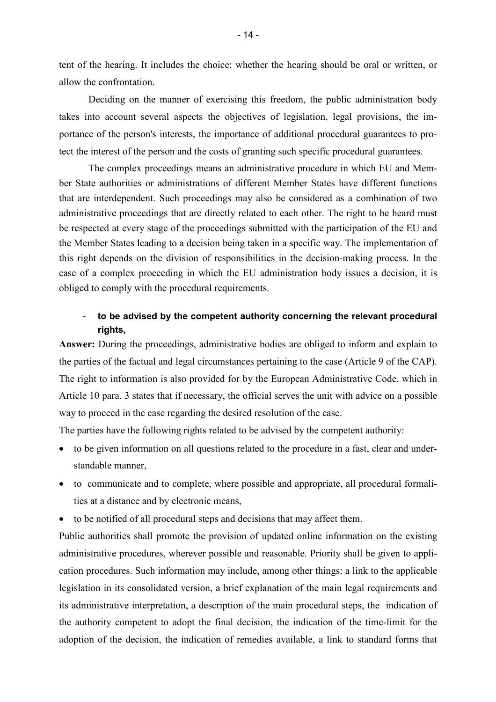tent of the hearing. It includes the choice: whether the hearing should be oral or written, or allow the confrontation.

Deciding on the manner of exercising this freedom, the public administration body takes into account several aspects the objectives of legislation, legal provisions, the importance of the person's interests, the importance of additional procedural guarantees to protect the interest of the person and the costs of granting such specific procedural guarantees.

The complex proceedings means an administrative procedure in which EU and Member State authorities or administrations of different Member States have different functions that are interdependent. Such proceedings may also be considered as a combination of two administrative proceedings that are directly related to each other. The right to be heard must be respected at every stage of the proceedings submitted with the participation of the EU and the Member States leading to a decision being taken in a specific way. The implementation of this right depends on the division of responsibilities in the decision-making process. In the case of a complex proceeding in which the EU administration body issues a decision, it is obliged to comply with the procedural requirements.

# - **to be advised by the competent authority concerning the relevant procedural rights,**

**Answer:** During the proceedings, administrative bodies are obliged to inform and explain to the parties of the factual and legal circumstances pertaining to the case (Article 9 of the CAP). The right to information is also provided for by the European Administrative Code, which in Article 10 para. 3 states that if necessary, the official serves the unit with advice on a possible way to proceed in the case regarding the desired resolution of the case.

The parties have the following rights related to be advised by the competent authority:

- to be given information on all questions related to the procedure in a fast, clear and understandable manner,
- to communicate and to complete, where possible and appropriate, all procedural formalities at a distance and by electronic means,
- to be notified of all procedural steps and decisions that may affect them.

Public authorities shall promote the provision of updated online information on the existing administrative procedures, wherever possible and reasonable. Priority shall be given to application procedures. Such information may include, among other things: a link to the applicable legislation in its consolidated version, a brief explanation of the main legal requirements and its administrative interpretation, a description of the main procedural steps, the indication of the authority competent to adopt the final decision, the indication of the time-limit for the adoption of the decision, the indication of remedies available, a link to standard forms that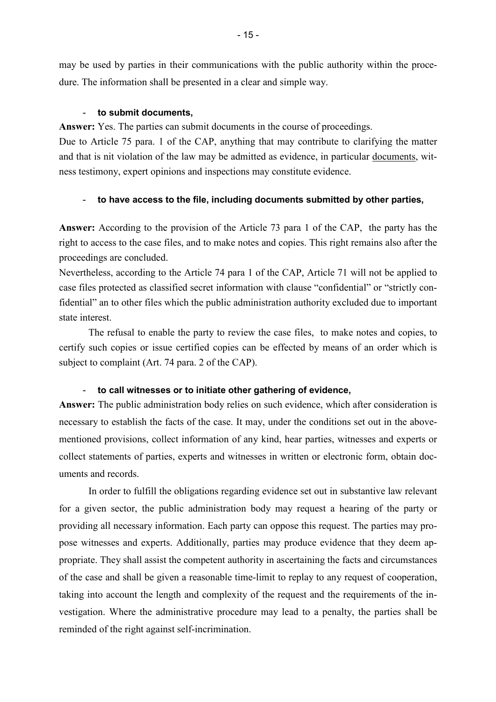may be used by parties in their communications with the public authority within the procedure. The information shall be presented in a clear and simple way.

#### - **to submit documents,**

**Answer:** Yes. The parties can submit documents in the course of proceedings.

Due to Article 75 para. 1 of the CAP, anything that may contribute to clarifying the matter and that is nit violation of the law may be admitted as evidence, in particular documents, witness testimony, expert opinions and inspections may constitute evidence.

### - **to have access to the file, including documents submitted by other parties,**

**Answer:** According to the provision of the Article 73 para 1 of the CAP, the party has the right to access to the case files, and to make notes and copies. This right remains also after the proceedings are concluded.

Nevertheless, according to the Article 74 para 1 of the CAP, Article 71 will not be applied to case files protected as classified secret information with clause "confidential" or "strictly confidential" an to other files which the public administration authority excluded due to important state interest.

The refusal to enable the party to review the case files, to make notes and copies, to certify such copies or issue certified copies can be effected by means of an order which is subject to complaint (Art. 74 para. 2 of the CAP).

#### - **to call witnesses or to initiate other gathering of evidence,**

**Answer:** The public administration body relies on such evidence, which after consideration is necessary to establish the facts of the case. It may, under the conditions set out in the abovementioned provisions, collect information of any kind, hear parties, witnesses and experts or collect statements of parties, experts and witnesses in written or electronic form, obtain documents and records.

In order to fulfill the obligations regarding evidence set out in substantive law relevant for a given sector, the public administration body may request a hearing of the party or providing all necessary information. Each party can oppose this request. The parties may propose witnesses and experts. Additionally, parties may produce evidence that they deem appropriate. They shall assist the competent authority in ascertaining the facts and circumstances of the case and shall be given a reasonable time-limit to replay to any request of cooperation, taking into account the length and complexity of the request and the requirements of the investigation. Where the administrative procedure may lead to a penalty, the parties shall be reminded of the right against self-incrimination.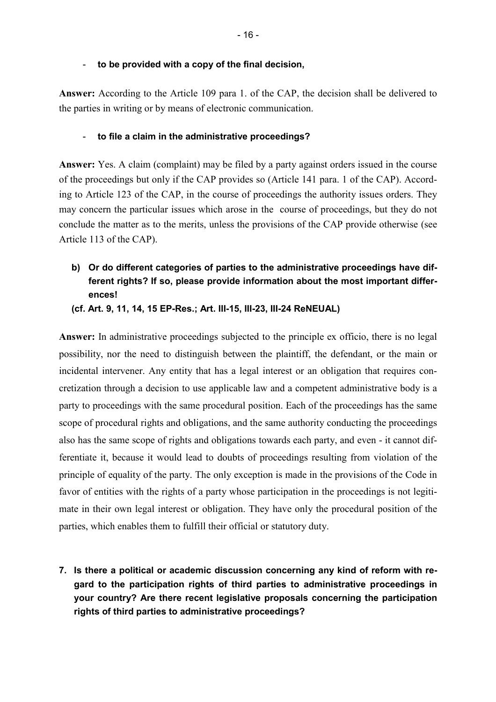**Answer:** According to the Article 109 para 1. of the CAP, the decision shall be delivered to the parties in writing or by means of electronic communication.

### - **to file a claim in the administrative proceedings?**

**Answer:** Yes. A claim (complaint) may be filed by a party against orders issued in the course of the proceedings but only if the CAP provides so (Article 141 para. 1 of the CAP). According to Article 123 of the CAP, in the course of proceedings the authority issues orders. They may concern the particular issues which arose in the course of proceedings, but they do not conclude the matter as to the merits, unless the provisions of the CAP provide otherwise (see Article 113 of the CAP).

**b) Or do different categories of parties to the administrative proceedings have different rights? If so, please provide information about the most important differences!** 

**(cf. Art. 9, 11, 14, 15 EP-Res.; Art. III-15, III-23, III-24 ReNEUAL)** 

**Answer:** In administrative proceedings subjected to the principle ex officio, there is no legal possibility, nor the need to distinguish between the plaintiff, the defendant, or the main or incidental intervener. Any entity that has a legal interest or an obligation that requires concretization through a decision to use applicable law and a competent administrative body is a party to proceedings with the same procedural position. Each of the proceedings has the same scope of procedural rights and obligations, and the same authority conducting the proceedings also has the same scope of rights and obligations towards each party, and even - it cannot differentiate it, because it would lead to doubts of proceedings resulting from violation of the principle of equality of the party. The only exception is made in the provisions of the Code in favor of entities with the rights of a party whose participation in the proceedings is not legitimate in their own legal interest or obligation. They have only the procedural position of the parties, which enables them to fulfill their official or statutory duty.

**7. Is there a political or academic discussion concerning any kind of reform with regard to the participation rights of third parties to administrative proceedings in your country? Are there recent legislative proposals concerning the participation rights of third parties to administrative proceedings?**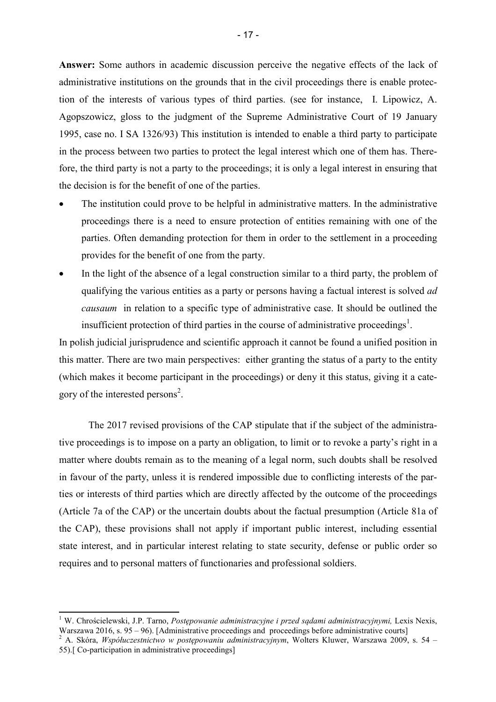**Answer:** Some authors in academic discussion perceive the negative effects of the lack of administrative institutions on the grounds that in the civil proceedings there is enable protection of the interests of various types of third parties. (see for instance, I. Lipowicz, A. Agopszowicz, gloss to the judgment of the Supreme Administrative Court of 19 January 1995, case no. I SA 1326/93) This institution is intended to enable a third party to participate in the process between two parties to protect the legal interest which one of them has. Therefore, the third party is not a party to the proceedings; it is only a legal interest in ensuring that the decision is for the benefit of one of the parties.

- The institution could prove to be helpful in administrative matters. In the administrative proceedings there is a need to ensure protection of entities remaining with one of the parties. Often demanding protection for them in order to the settlement in a proceeding provides for the benefit of one from the party.
- In the light of the absence of a legal construction similar to a third party, the problem of qualifying the various entities as a party or persons having a factual interest is solved *ad causaum* in relation to a specific type of administrative case. It should be outlined the insufficient protection of third parties in the course of administrative proceedings<sup>1</sup>.

In polish judicial jurisprudence and scientific approach it cannot be found a unified position in this matter. There are two main perspectives: either granting the status of a party to the entity (which makes it become participant in the proceedings) or deny it this status, giving it a category of the interested persons<sup>2</sup>.

The 2017 revised provisions of the CAP stipulate that if the subject of the administrative proceedings is to impose on a party an obligation, to limit or to revoke a party's right in a matter where doubts remain as to the meaning of a legal norm, such doubts shall be resolved in favour of the party, unless it is rendered impossible due to conflicting interests of the parties or interests of third parties which are directly affected by the outcome of the proceedings (Article 7a of the CAP) or the uncertain doubts about the factual presumption (Article 81a of the CAP), these provisions shall not apply if important public interest, including essential state interest, and in particular interest relating to state security, defense or public order so requires and to personal matters of functionaries and professional soldiers.

<sup>&</sup>lt;sup>1</sup> W. Chrościelewski, J.P. Tarno, *Postepowanie administracyjne i przed sadami administracyjnymi, Lexis Nexis,* Warszawa 2016, s. 95 – 96). [Administrative proceedings and proceedings before administrative courts]

<sup>2</sup> A. Skóra, *Współuczestnictwo w postępowaniu administracyjnym*, Wolters Kluwer, Warszawa 2009, s. 54 – 55).[ Co-participation in administrative proceedings]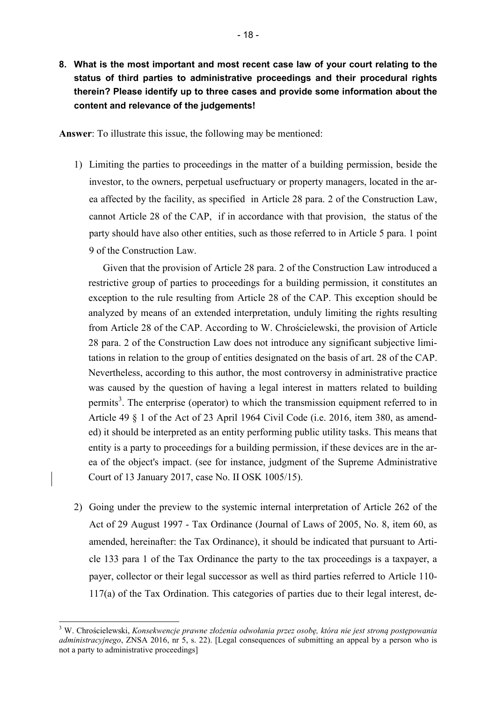**8. What is the most important and most recent case law of your court relating to the status of third parties to administrative proceedings and their procedural rights therein? Please identify up to three cases and provide some information about the content and relevance of the judgements!** 

**Answer**: To illustrate this issue, the following may be mentioned:

1) Limiting the parties to proceedings in the matter of a building permission, beside the investor, to the owners, perpetual usefructuary or property managers, located in the area affected by the facility, as specified in Article 28 para. 2 of the Construction Law, cannot Article 28 of the CAP, if in accordance with that provision, the status of the party should have also other entities, such as those referred to in Article 5 para. 1 point 9 of the Construction Law.

Given that the provision of Article 28 para. 2 of the Construction Law introduced a restrictive group of parties to proceedings for a building permission, it constitutes an exception to the rule resulting from Article 28 of the CAP. This exception should be analyzed by means of an extended interpretation, unduly limiting the rights resulting from Article 28 of the CAP. According to W. Chrościelewski, the provision of Article 28 para. 2 of the Construction Law does not introduce any significant subjective limitations in relation to the group of entities designated on the basis of art. 28 of the CAP. Nevertheless, according to this author, the most controversy in administrative practice was caused by the question of having a legal interest in matters related to building permits<sup>3</sup>. The enterprise (operator) to which the transmission equipment referred to in Article 49 § 1 of the Act of 23 April 1964 Civil Code (i.e. 2016, item 380, as amended) it should be interpreted as an entity performing public utility tasks. This means that entity is a party to proceedings for a building permission, if these devices are in the area of the object's impact. (see for instance, judgment of the Supreme Administrative Court of 13 January 2017, case No. II OSK 1005/15).

2) Going under the preview to the systemic internal interpretation of Article 262 of the Act of 29 August 1997 - Tax Ordinance (Journal of Laws of 2005, No. 8, item 60, as amended, hereinafter: the Tax Ordinance), it should be indicated that pursuant to Article 133 para 1 of the Tax Ordinance the party to the tax proceedings is a taxpayer, a payer, collector or their legal successor as well as third parties referred to Article 110- 117(a) of the Tax Ordination. This categories of parties due to their legal interest, de-

l

<sup>3</sup> W. Chrościelewski, *Konsekwencje prawne złożenia odwołania przez osobę, która nie jest stroną postępowania administracyjnego*, ZNSA 2016, nr 5, s. 22). [Legal consequences of submitting an appeal by a person who is not a party to administrative proceedings]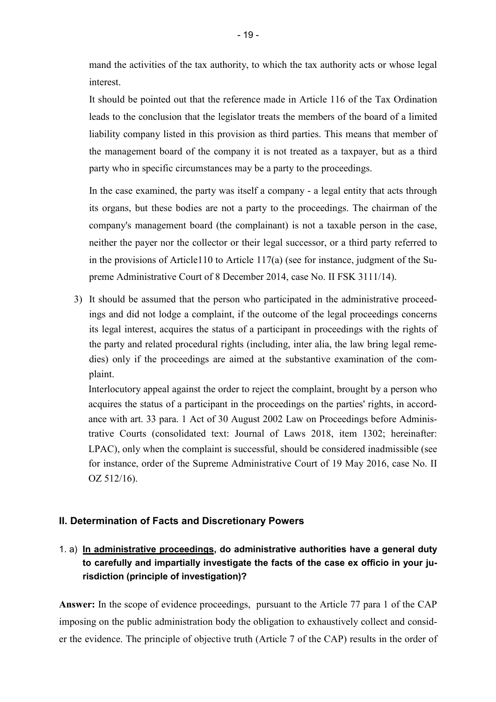mand the activities of the tax authority, to which the tax authority acts or whose legal interest.

It should be pointed out that the reference made in Article 116 of the Tax Ordination leads to the conclusion that the legislator treats the members of the board of a limited liability company listed in this provision as third parties. This means that member of the management board of the company it is not treated as a taxpayer, but as a third party who in specific circumstances may be a party to the proceedings.

In the case examined, the party was itself a company - a legal entity that acts through its organs, but these bodies are not a party to the proceedings. The chairman of the company's management board (the complainant) is not a taxable person in the case, neither the payer nor the collector or their legal successor, or a third party referred to in the provisions of Article110 to Article 117(a) (see for instance, judgment of the Supreme Administrative Court of 8 December 2014, case No. II FSK 3111/14).

3) It should be assumed that the person who participated in the administrative proceedings and did not lodge a complaint, if the outcome of the legal proceedings concerns its legal interest, acquires the status of a participant in proceedings with the rights of the party and related procedural rights (including, inter alia, the law bring legal remedies) only if the proceedings are aimed at the substantive examination of the complaint.

Interlocutory appeal against the order to reject the complaint, brought by a person who acquires the status of a participant in the proceedings on the parties' rights, in accordance with art. 33 para. 1 Act of 30 August 2002 Law on Proceedings before Administrative Courts (consolidated text: Journal of Laws 2018, item 1302; hereinafter: LPAC), only when the complaint is successful, should be considered inadmissible (see for instance, order of the Supreme Administrative Court of 19 May 2016, case No. II OZ 512/16).

## **II. Determination of Facts and Discretionary Powers**

# 1. a) **In administrative proceedings, do administrative authorities have a general duty to carefully and impartially investigate the facts of the case ex officio in your jurisdiction (principle of investigation)?**

**Answer:** In the scope of evidence proceedings, pursuant to the Article 77 para 1 of the CAP imposing on the public administration body the obligation to exhaustively collect and consider the evidence. The principle of objective truth (Article 7 of the CAP) results in the order of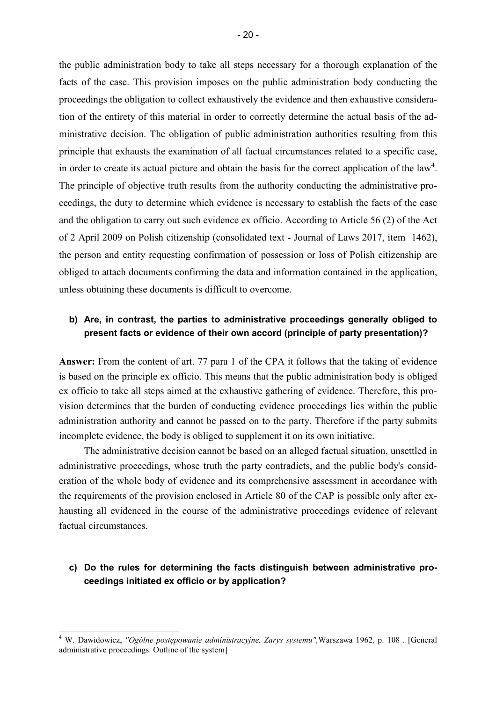the public administration body to take all steps necessary for a thorough explanation of the facts of the case. This provision imposes on the public administration body conducting the proceedings the obligation to collect exhaustively the evidence and then exhaustive consideration of the entirety of this material in order to correctly determine the actual basis of the administrative decision. The obligation of public administration authorities resulting from this principle that exhausts the examination of all factual circumstances related to a specific case, in order to create its actual picture and obtain the basis for the correct application of the  $law<sup>4</sup>$ . The principle of objective truth results from the authority conducting the administrative proceedings, the duty to determine which evidence is necessary to establish the facts of the case and the obligation to carry out such evidence ex officio. According to Article 56 (2) of the Act of 2 April 2009 on Polish citizenship (consolidated text - Journal of Laws 2017, item 1462), the person and entity requesting confirmation of possession or loss of Polish citizenship are obliged to attach documents confirming the data and information contained in the application, unless obtaining these documents is difficult to overcome.

## **b) Are, in contrast, the parties to administrative proceedings generally obliged to present facts or evidence of their own accord (principle of party presentation)?**

**Answer:** From the content of art. 77 para 1 of the CPA it follows that the taking of evidence is based on the principle ex officio. This means that the public administration body is obliged ex officio to take all steps aimed at the exhaustive gathering of evidence. Therefore, this provision determines that the burden of conducting evidence proceedings lies within the public administration authority and cannot be passed on to the party. Therefore if the party submits incomplete evidence, the body is obliged to supplement it on its own initiative.

The administrative decision cannot be based on an alleged factual situation, unsettled in administrative proceedings, whose truth the party contradicts, and the public body's consideration of the whole body of evidence and its comprehensive assessment in accordance with the requirements of the provision enclosed in Article 80 of the CAP is possible only after exhausting all evidenced in the course of the administrative proceedings evidence of relevant factual circumstances.

## **c) Do the rules for determining the facts distinguish between administrative proceedings initiated ex officio or by application?**

l

<sup>4</sup> W. Dawidowicz, *"Ogólne postępowanie administracyjne. Zarys systemu",*Warszawa 1962, p. 108 . [General administrative proceedings. Outline of the system]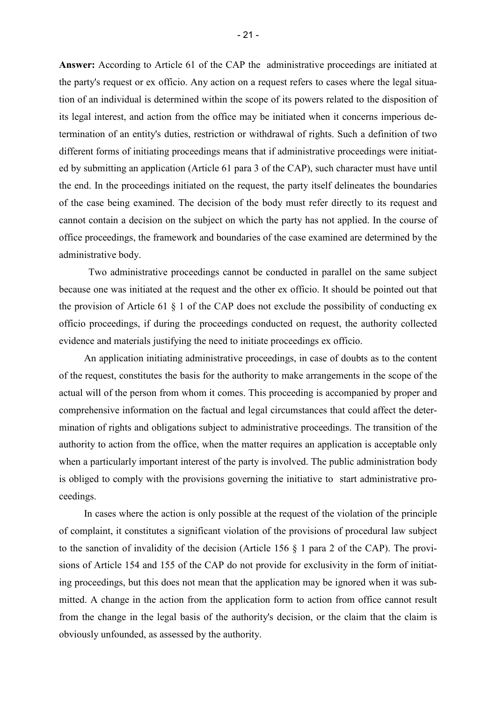**Answer:** According to Article 61 of the CAP the administrative proceedings are initiated at the party's request or ex officio. Any action on a request refers to cases where the legal situation of an individual is determined within the scope of its powers related to the disposition of its legal interest, and action from the office may be initiated when it concerns imperious determination of an entity's duties, restriction or withdrawal of rights. Such a definition of two different forms of initiating proceedings means that if administrative proceedings were initiated by submitting an application (Article 61 para 3 of the CAP), such character must have until the end. In the proceedings initiated on the request, the party itself delineates the boundaries of the case being examined. The decision of the body must refer directly to its request and cannot contain a decision on the subject on which the party has not applied. In the course of office proceedings, the framework and boundaries of the case examined are determined by the administrative body.

Two administrative proceedings cannot be conducted in parallel on the same subject because one was initiated at the request and the other ex officio. It should be pointed out that the provision of Article 61 § 1 of the CAP does not exclude the possibility of conducting ex officio proceedings, if during the proceedings conducted on request, the authority collected evidence and materials justifying the need to initiate proceedings ex officio.

An application initiating administrative proceedings, in case of doubts as to the content of the request, constitutes the basis for the authority to make arrangements in the scope of the actual will of the person from whom it comes. This proceeding is accompanied by proper and comprehensive information on the factual and legal circumstances that could affect the determination of rights and obligations subject to administrative proceedings. The transition of the authority to action from the office, when the matter requires an application is acceptable only when a particularly important interest of the party is involved. The public administration body is obliged to comply with the provisions governing the initiative to start administrative proceedings.

In cases where the action is only possible at the request of the violation of the principle of complaint, it constitutes a significant violation of the provisions of procedural law subject to the sanction of invalidity of the decision (Article 156 § 1 para 2 of the CAP). The provisions of Article 154 and 155 of the CAP do not provide for exclusivity in the form of initiating proceedings, but this does not mean that the application may be ignored when it was submitted. A change in the action from the application form to action from office cannot result from the change in the legal basis of the authority's decision, or the claim that the claim is obviously unfounded, as assessed by the authority.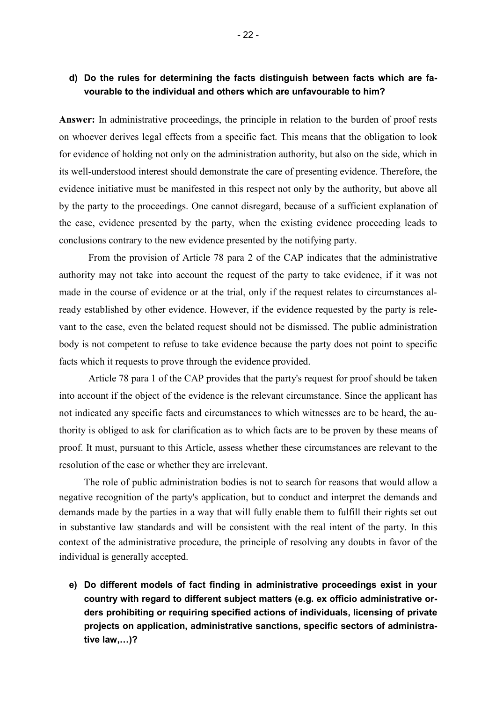# **d) Do the rules for determining the facts distinguish between facts which are favourable to the individual and others which are unfavourable to him?**

**Answer:** In administrative proceedings, the principle in relation to the burden of proof rests on whoever derives legal effects from a specific fact. This means that the obligation to look for evidence of holding not only on the administration authority, but also on the side, which in its well-understood interest should demonstrate the care of presenting evidence. Therefore, the evidence initiative must be manifested in this respect not only by the authority, but above all by the party to the proceedings. One cannot disregard, because of a sufficient explanation of the case, evidence presented by the party, when the existing evidence proceeding leads to conclusions contrary to the new evidence presented by the notifying party.

From the provision of Article 78 para 2 of the CAP indicates that the administrative authority may not take into account the request of the party to take evidence, if it was not made in the course of evidence or at the trial, only if the request relates to circumstances already established by other evidence. However, if the evidence requested by the party is relevant to the case, even the belated request should not be dismissed. The public administration body is not competent to refuse to take evidence because the party does not point to specific facts which it requests to prove through the evidence provided.

Article 78 para 1 of the CAP provides that the party's request for proof should be taken into account if the object of the evidence is the relevant circumstance. Since the applicant has not indicated any specific facts and circumstances to which witnesses are to be heard, the authority is obliged to ask for clarification as to which facts are to be proven by these means of proof. It must, pursuant to this Article, assess whether these circumstances are relevant to the resolution of the case or whether they are irrelevant.

The role of public administration bodies is not to search for reasons that would allow a negative recognition of the party's application, but to conduct and interpret the demands and demands made by the parties in a way that will fully enable them to fulfill their rights set out in substantive law standards and will be consistent with the real intent of the party. In this context of the administrative procedure, the principle of resolving any doubts in favor of the individual is generally accepted.

**e) Do different models of fact finding in administrative proceedings exist in your country with regard to different subject matters (e.g. ex officio administrative orders prohibiting or requiring specified actions of individuals, licensing of private projects on application, administrative sanctions, specific sectors of administrative law,4)?**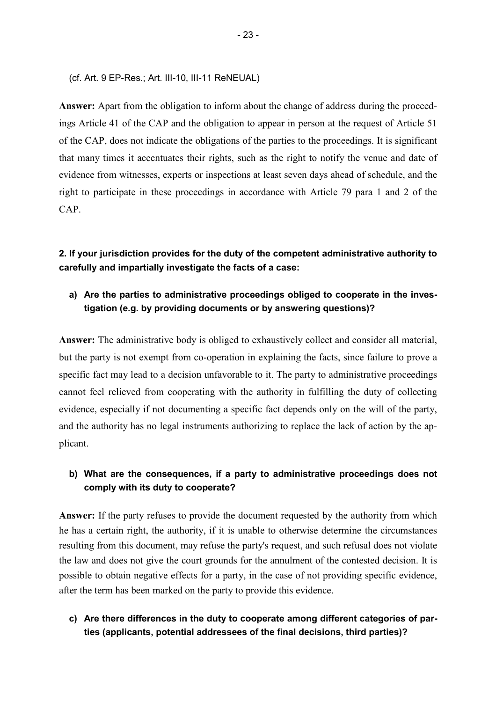(cf. Art. 9 EP-Res.; Art. III-10, III-11 ReNEUAL)

**Answer:** Apart from the obligation to inform about the change of address during the proceedings Article 41 of the CAP and the obligation to appear in person at the request of Article 51 of the CAP, does not indicate the obligations of the parties to the proceedings. It is significant that many times it accentuates their rights, such as the right to notify the venue and date of evidence from witnesses, experts or inspections at least seven days ahead of schedule, and the right to participate in these proceedings in accordance with Article 79 para 1 and 2 of the CAP.

**2. If your jurisdiction provides for the duty of the competent administrative authority to carefully and impartially investigate the facts of a case:** 

# **a) Are the parties to administrative proceedings obliged to cooperate in the investigation (e.g. by providing documents or by answering questions)?**

**Answer:** The administrative body is obliged to exhaustively collect and consider all material, but the party is not exempt from co-operation in explaining the facts, since failure to prove a specific fact may lead to a decision unfavorable to it. The party to administrative proceedings cannot feel relieved from cooperating with the authority in fulfilling the duty of collecting evidence, especially if not documenting a specific fact depends only on the will of the party, and the authority has no legal instruments authorizing to replace the lack of action by the applicant.

# **b) What are the consequences, if a party to administrative proceedings does not comply with its duty to cooperate?**

Answer: If the party refuses to provide the document requested by the authority from which he has a certain right, the authority, if it is unable to otherwise determine the circumstances resulting from this document, may refuse the party's request, and such refusal does not violate the law and does not give the court grounds for the annulment of the contested decision. It is possible to obtain negative effects for a party, in the case of not providing specific evidence, after the term has been marked on the party to provide this evidence.

## **c) Are there differences in the duty to cooperate among different categories of parties (applicants, potential addressees of the final decisions, third parties)?**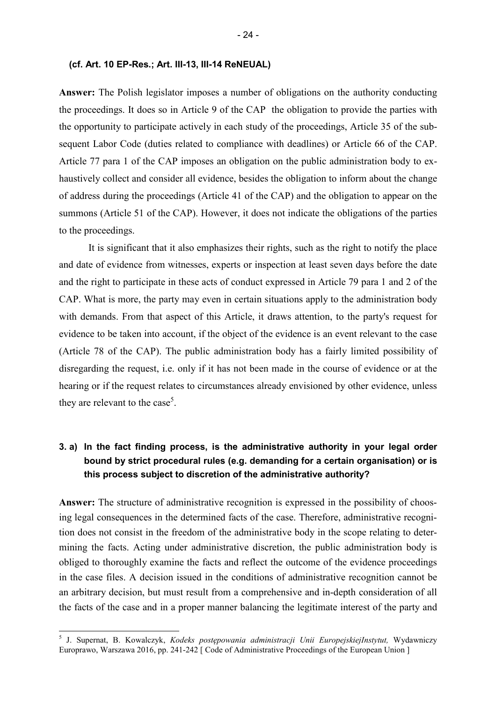#### **(cf. Art. 10 EP-Res.; Art. III-13, III-14 ReNEUAL)**

**Answer:** The Polish legislator imposes a number of obligations on the authority conducting the proceedings. It does so in Article 9 of the CAP the obligation to provide the parties with the opportunity to participate actively in each study of the proceedings, Article 35 of the subsequent Labor Code (duties related to compliance with deadlines) or Article 66 of the CAP. Article 77 para 1 of the CAP imposes an obligation on the public administration body to exhaustively collect and consider all evidence, besides the obligation to inform about the change of address during the proceedings (Article 41 of the CAP) and the obligation to appear on the summons (Article 51 of the CAP). However, it does not indicate the obligations of the parties to the proceedings.

It is significant that it also emphasizes their rights, such as the right to notify the place and date of evidence from witnesses, experts or inspection at least seven days before the date and the right to participate in these acts of conduct expressed in Article 79 para 1 and 2 of the CAP. What is more, the party may even in certain situations apply to the administration body with demands. From that aspect of this Article, it draws attention, to the party's request for evidence to be taken into account, if the object of the evidence is an event relevant to the case (Article 78 of the CAP). The public administration body has a fairly limited possibility of disregarding the request, i.e. only if it has not been made in the course of evidence or at the hearing or if the request relates to circumstances already envisioned by other evidence, unless they are relevant to the case<sup>5</sup>.

# **3. a) In the fact finding process, is the administrative authority in your legal order bound by strict procedural rules (e.g. demanding for a certain organisation) or is this process subject to discretion of the administrative authority?**

**Answer:** The structure of administrative recognition is expressed in the possibility of choosing legal consequences in the determined facts of the case. Therefore, administrative recognition does not consist in the freedom of the administrative body in the scope relating to determining the facts. Acting under administrative discretion, the public administration body is obliged to thoroughly examine the facts and reflect the outcome of the evidence proceedings in the case files. A decision issued in the conditions of administrative recognition cannot be an arbitrary decision, but must result from a comprehensive and in-depth consideration of all the facts of the case and in a proper manner balancing the legitimate interest of the party and

l

<sup>5</sup> J. Supernat, B. Kowalczyk, *Kodeks postępowania administracji Unii EuropejskiejInstytut,* Wydawniczy Europrawo, Warszawa 2016, pp. 241-242 [ Code of Administrative Proceedings of the European Union ]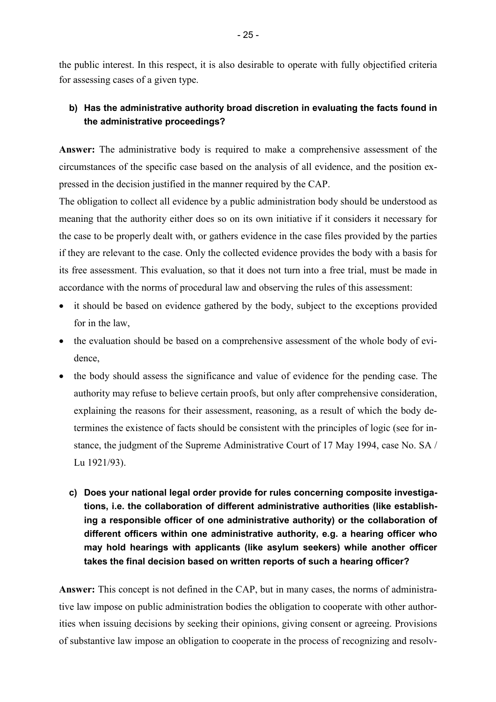the public interest. In this respect, it is also desirable to operate with fully objectified criteria for assessing cases of a given type.

# **b) Has the administrative authority broad discretion in evaluating the facts found in the administrative proceedings?**

**Answer:** The administrative body is required to make a comprehensive assessment of the circumstances of the specific case based on the analysis of all evidence, and the position expressed in the decision justified in the manner required by the CAP.

The obligation to collect all evidence by a public administration body should be understood as meaning that the authority either does so on its own initiative if it considers it necessary for the case to be properly dealt with, or gathers evidence in the case files provided by the parties if they are relevant to the case. Only the collected evidence provides the body with a basis for its free assessment. This evaluation, so that it does not turn into a free trial, must be made in accordance with the norms of procedural law and observing the rules of this assessment:

- it should be based on evidence gathered by the body, subject to the exceptions provided for in the law,
- the evaluation should be based on a comprehensive assessment of the whole body of evidence,
- the body should assess the significance and value of evidence for the pending case. The authority may refuse to believe certain proofs, but only after comprehensive consideration, explaining the reasons for their assessment, reasoning, as a result of which the body determines the existence of facts should be consistent with the principles of logic (see for instance, the judgment of the Supreme Administrative Court of 17 May 1994, case No. SA / Lu 1921/93).
	- **c) Does your national legal order provide for rules concerning composite investigations, i.e. the collaboration of different administrative authorities (like establishing a responsible officer of one administrative authority) or the collaboration of different officers within one administrative authority, e.g. a hearing officer who may hold hearings with applicants (like asylum seekers) while another officer takes the final decision based on written reports of such a hearing officer?**

**Answer:** This concept is not defined in the CAP, but in many cases, the norms of administrative law impose on public administration bodies the obligation to cooperate with other authorities when issuing decisions by seeking their opinions, giving consent or agreeing. Provisions of substantive law impose an obligation to cooperate in the process of recognizing and resolv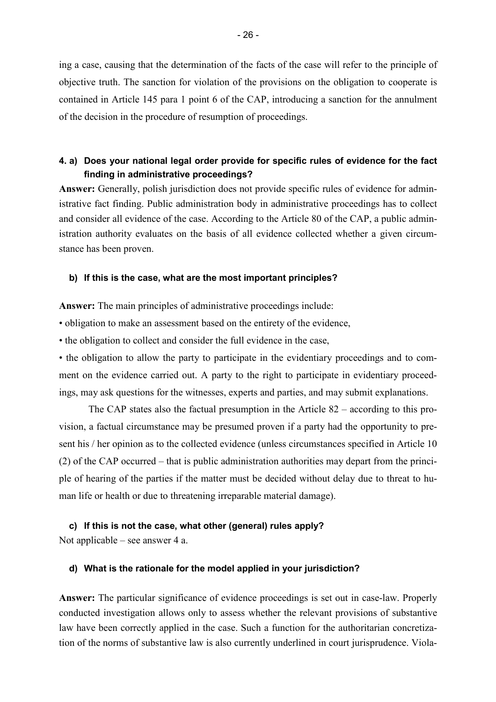ing a case, causing that the determination of the facts of the case will refer to the principle of objective truth. The sanction for violation of the provisions on the obligation to cooperate is contained in Article 145 para 1 point 6 of the CAP, introducing a sanction for the annulment of the decision in the procedure of resumption of proceedings.

# **4. a) Does your national legal order provide for specific rules of evidence for the fact finding in administrative proceedings?**

**Answer:** Generally, polish jurisdiction does not provide specific rules of evidence for administrative fact finding. Public administration body in administrative proceedings has to collect and consider all evidence of the case. According to the Article 80 of the CAP, a public administration authority evaluates on the basis of all evidence collected whether a given circumstance has been proven.

#### **b) If this is the case, what are the most important principles?**

**Answer:** The main principles of administrative proceedings include:

• obligation to make an assessment based on the entirety of the evidence,

• the obligation to collect and consider the full evidence in the case,

• the obligation to allow the party to participate in the evidentiary proceedings and to comment on the evidence carried out. A party to the right to participate in evidentiary proceedings, may ask questions for the witnesses, experts and parties, and may submit explanations.

 The CAP states also the factual presumption in the Article 82 – according to this provision, a factual circumstance may be presumed proven if a party had the opportunity to present his / her opinion as to the collected evidence (unless circumstances specified in Article 10 (2) of the CAP occurred – that is public administration authorities may depart from the principle of hearing of the parties if the matter must be decided without delay due to threat to human life or health or due to threatening irreparable material damage).

### **c) If this is not the case, what other (general) rules apply?**

Not applicable – see answer 4 a.

#### **d) What is the rationale for the model applied in your jurisdiction?**

**Answer:** The particular significance of evidence proceedings is set out in case-law. Properly conducted investigation allows only to assess whether the relevant provisions of substantive law have been correctly applied in the case. Such a function for the authoritarian concretization of the norms of substantive law is also currently underlined in court jurisprudence. Viola-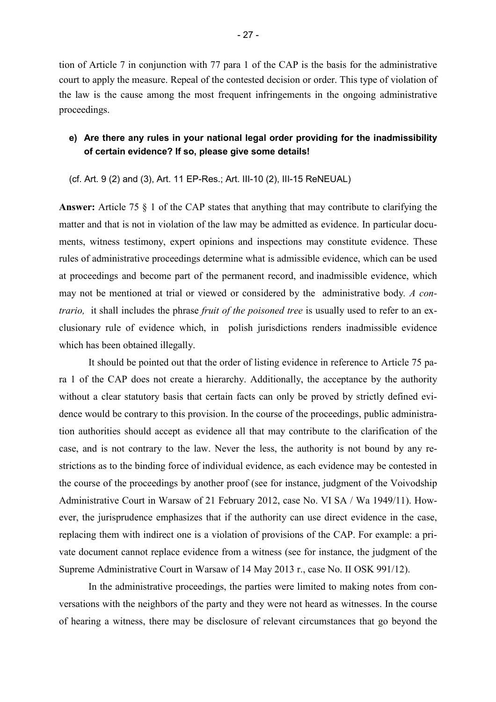tion of Article 7 in conjunction with 77 para 1 of the CAP is the basis for the administrative court to apply the measure. Repeal of the contested decision or order. This type of violation of the law is the cause among the most frequent infringements in the ongoing administrative proceedings.

## **e) Are there any rules in your national legal order providing for the inadmissibility of certain evidence? If so, please give some details!**

(cf. Art. 9 (2) and (3), Art. 11 EP-Res.; Art. III-10 (2), III-15 ReNEUAL)

**Answer:** Article 75 § 1 of the CAP states that anything that may contribute to clarifying the matter and that is not in violation of the law may be admitted as evidence. In particular documents, witness testimony, expert opinions and inspections may constitute evidence. These rules of administrative proceedings determine what is admissible evidence, which can be used at proceedings and become part of the permanent record, and inadmissible evidence, which may not be mentioned at trial or viewed or considered by the administrative body*. A contrario,* it shall includes the phrase *fruit of the poisoned tree* is usually used to refer to an exclusionary rule of evidence which, in polish jurisdictions renders inadmissible evidence which has been obtained illegally.

It should be pointed out that the order of listing evidence in reference to Article 75 para 1 of the CAP does not create a hierarchy. Additionally, the acceptance by the authority without a clear statutory basis that certain facts can only be proved by strictly defined evidence would be contrary to this provision. In the course of the proceedings, public administration authorities should accept as evidence all that may contribute to the clarification of the case, and is not contrary to the law. Never the less, the authority is not bound by any restrictions as to the binding force of individual evidence, as each evidence may be contested in the course of the proceedings by another proof (see for instance, judgment of the Voivodship Administrative Court in Warsaw of 21 February 2012, case No. VI SA / Wa 1949/11). However, the jurisprudence emphasizes that if the authority can use direct evidence in the case, replacing them with indirect one is a violation of provisions of the CAP. For example: a private document cannot replace evidence from a witness (see for instance, the judgment of the Supreme Administrative Court in Warsaw of 14 May 2013 r., case No. II OSK 991/12).

In the administrative proceedings, the parties were limited to making notes from conversations with the neighbors of the party and they were not heard as witnesses. In the course of hearing a witness, there may be disclosure of relevant circumstances that go beyond the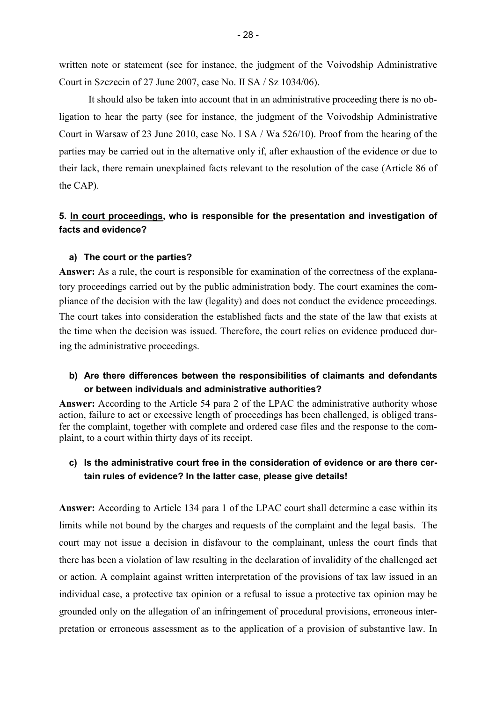written note or statement (see for instance, the judgment of the Voivodship Administrative Court in Szczecin of 27 June 2007, case No. II SA / Sz 1034/06).

It should also be taken into account that in an administrative proceeding there is no obligation to hear the party (see for instance, the judgment of the Voivodship Administrative Court in Warsaw of 23 June 2010, case No. I SA / Wa 526/10). Proof from the hearing of the parties may be carried out in the alternative only if, after exhaustion of the evidence or due to their lack, there remain unexplained facts relevant to the resolution of the case (Article 86 of the CAP).

## **5. In court proceedings, who is responsible for the presentation and investigation of facts and evidence?**

#### **a) The court or the parties?**

**Answer:** As a rule, the court is responsible for examination of the correctness of the explanatory proceedings carried out by the public administration body. The court examines the compliance of the decision with the law (legality) and does not conduct the evidence proceedings. The court takes into consideration the established facts and the state of the law that exists at the time when the decision was issued. Therefore, the court relies on evidence produced during the administrative proceedings.

## **b) Are there differences between the responsibilities of claimants and defendants or between individuals and administrative authorities?**

**Answer:** According to the Article 54 para 2 of the LPAC the administrative authority whose action, failure to act or excessive length of proceedings has been challenged, is obliged transfer the complaint, together with complete and ordered case files and the response to the complaint, to a court within thirty days of its receipt.

## **c) Is the administrative court free in the consideration of evidence or are there certain rules of evidence? In the latter case, please give details!**

**Answer:** According to Article 134 para 1 of the LPAC court shall determine a case within its limits while not bound by the charges and requests of the complaint and the legal basis. The court may not issue a decision in disfavour to the complainant, unless the court finds that there has been a violation of law resulting in the declaration of invalidity of the challenged act or action. A complaint against written interpretation of the provisions of tax law issued in an individual case, a protective tax opinion or a refusal to issue a protective tax opinion may be grounded only on the allegation of an infringement of procedural provisions, erroneous interpretation or erroneous assessment as to the application of a provision of substantive law. In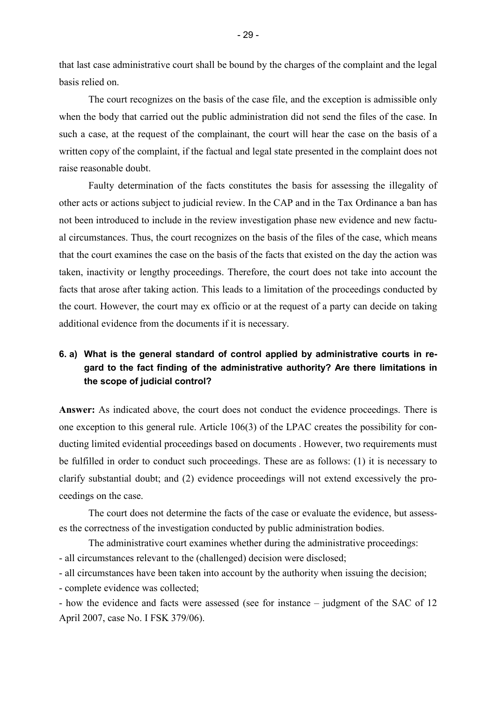that last case administrative court shall be bound by the charges of the complaint and the legal basis relied on.

The court recognizes on the basis of the case file, and the exception is admissible only when the body that carried out the public administration did not send the files of the case. In such a case, at the request of the complainant, the court will hear the case on the basis of a written copy of the complaint, if the factual and legal state presented in the complaint does not raise reasonable doubt.

Faulty determination of the facts constitutes the basis for assessing the illegality of other acts or actions subject to judicial review. In the CAP and in the Tax Ordinance a ban has not been introduced to include in the review investigation phase new evidence and new factual circumstances. Thus, the court recognizes on the basis of the files of the case, which means that the court examines the case on the basis of the facts that existed on the day the action was taken, inactivity or lengthy proceedings. Therefore, the court does not take into account the facts that arose after taking action. This leads to a limitation of the proceedings conducted by the court. However, the court may ex officio or at the request of a party can decide on taking additional evidence from the documents if it is necessary.

# **6. a) What is the general standard of control applied by administrative courts in regard to the fact finding of the administrative authority? Are there limitations in the scope of judicial control?**

**Answer:** As indicated above, the court does not conduct the evidence proceedings. There is one exception to this general rule. Article 106(3) of the LPAC creates the possibility for conducting limited evidential proceedings based on documents . However, two requirements must be fulfilled in order to conduct such proceedings. These are as follows: (1) it is necessary to clarify substantial doubt; and (2) evidence proceedings will not extend excessively the proceedings on the case.

The court does not determine the facts of the case or evaluate the evidence, but assesses the correctness of the investigation conducted by public administration bodies.

 The administrative court examines whether during the administrative proceedings: - all circumstances relevant to the (challenged) decision were disclosed;

- all circumstances have been taken into account by the authority when issuing the decision;

- complete evidence was collected;

- how the evidence and facts were assessed (see for instance – judgment of the SAC of 12 April 2007, case No. I FSK 379/06).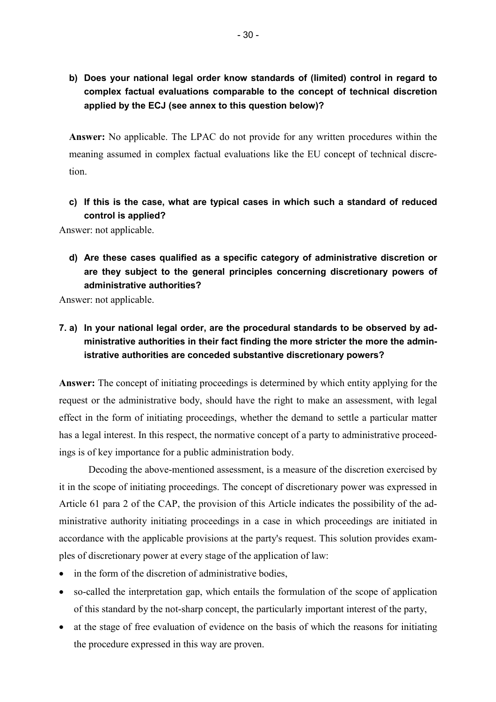**b) Does your national legal order know standards of (limited) control in regard to complex factual evaluations comparable to the concept of technical discretion applied by the ECJ (see annex to this question below)?** 

**Answer:** No applicable. The LPAC do not provide for any written procedures within the meaning assumed in complex factual evaluations like the EU concept of technical discretion.

**c) If this is the case, what are typical cases in which such a standard of reduced control is applied?** 

Answer: not applicable.

**d) Are these cases qualified as a specific category of administrative discretion or are they subject to the general principles concerning discretionary powers of administrative authorities?** 

Answer: not applicable.

# **7. a) In your national legal order, are the procedural standards to be observed by administrative authorities in their fact finding the more stricter the more the administrative authorities are conceded substantive discretionary powers?**

**Answer:** The concept of initiating proceedings is determined by which entity applying for the request or the administrative body, should have the right to make an assessment, with legal effect in the form of initiating proceedings, whether the demand to settle a particular matter has a legal interest. In this respect, the normative concept of a party to administrative proceedings is of key importance for a public administration body.

Decoding the above-mentioned assessment, is a measure of the discretion exercised by it in the scope of initiating proceedings. The concept of discretionary power was expressed in Article 61 para 2 of the CAP, the provision of this Article indicates the possibility of the administrative authority initiating proceedings in a case in which proceedings are initiated in accordance with the applicable provisions at the party's request. This solution provides examples of discretionary power at every stage of the application of law:

- in the form of the discretion of administrative bodies.
- so-called the interpretation gap, which entails the formulation of the scope of application of this standard by the not-sharp concept, the particularly important interest of the party,
- at the stage of free evaluation of evidence on the basis of which the reasons for initiating the procedure expressed in this way are proven.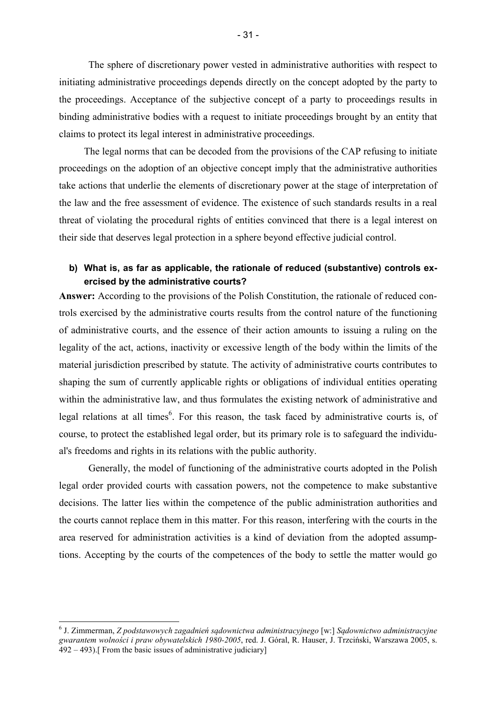The sphere of discretionary power vested in administrative authorities with respect to initiating administrative proceedings depends directly on the concept adopted by the party to the proceedings. Acceptance of the subjective concept of a party to proceedings results in binding administrative bodies with a request to initiate proceedings brought by an entity that claims to protect its legal interest in administrative proceedings.

The legal norms that can be decoded from the provisions of the CAP refusing to initiate proceedings on the adoption of an objective concept imply that the administrative authorities take actions that underlie the elements of discretionary power at the stage of interpretation of the law and the free assessment of evidence. The existence of such standards results in a real threat of violating the procedural rights of entities convinced that there is a legal interest on their side that deserves legal protection in a sphere beyond effective judicial control.

## **b) What is, as far as applicable, the rationale of reduced (substantive) controls exercised by the administrative courts?**

**Answer:** According to the provisions of the Polish Constitution, the rationale of reduced controls exercised by the administrative courts results from the control nature of the functioning of administrative courts, and the essence of their action amounts to issuing a ruling on the legality of the act, actions, inactivity or excessive length of the body within the limits of the material jurisdiction prescribed by statute. The activity of administrative courts contributes to shaping the sum of currently applicable rights or obligations of individual entities operating within the administrative law, and thus formulates the existing network of administrative and legal relations at all times<sup>6</sup>. For this reason, the task faced by administrative courts is, of course, to protect the established legal order, but its primary role is to safeguard the individual's freedoms and rights in its relations with the public authority.

Generally, the model of functioning of the administrative courts adopted in the Polish legal order provided courts with cassation powers, not the competence to make substantive decisions. The latter lies within the competence of the public administration authorities and the courts cannot replace them in this matter. For this reason, interfering with the courts in the area reserved for administration activities is a kind of deviation from the adopted assumptions. Accepting by the courts of the competences of the body to settle the matter would go

l

<sup>6</sup> J. Zimmerman, *Z podstawowych zagadnień sądownictwa administracyjnego* [w:] *Sądownictwo administracyjne gwarantem wolności i praw obywatelskich 1980-2005*, red. J. Góral, R. Hauser, J. Trzciński, Warszawa 2005, s.  $492 - 493$ ). From the basic issues of administrative judiciary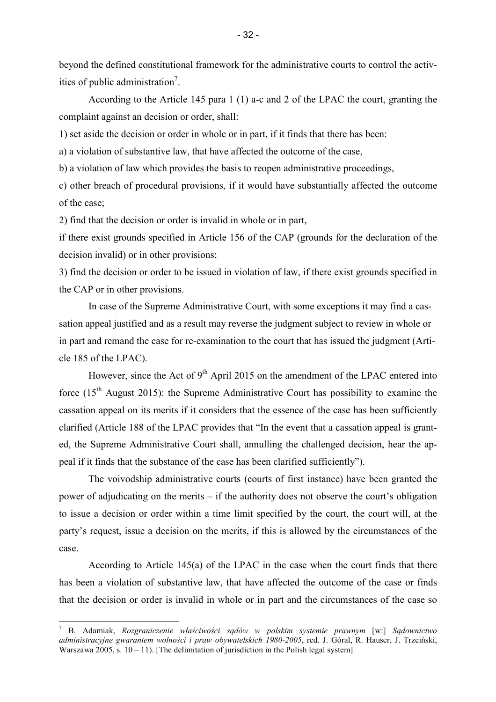beyond the defined constitutional framework for the administrative courts to control the activities of public administration<sup>7</sup>.

According to the Article 145 para 1 (1) a-c and 2 of the LPAC the court, granting the complaint against an decision or order, shall:

1) set aside the decision or order in whole or in part, if it finds that there has been:

a) a violation of substantive law, that have affected the outcome of the case,

b) a violation of law which provides the basis to reopen administrative proceedings,

c) other breach of procedural provisions, if it would have substantially affected the outcome of the case;

2) find that the decision or order is invalid in whole or in part,

if there exist grounds specified in Article 156 of the CAP (grounds for the declaration of the decision invalid) or in other provisions;

3) find the decision or order to be issued in violation of law, if there exist grounds specified in the CAP or in other provisions.

In case of the Supreme Administrative Court, with some exceptions it may find a cassation appeal justified and as a result may reverse the judgment subject to review in whole or in part and remand the case for re-examination to the court that has issued the judgment (Article 185 of the LPAC).

However, since the Act of  $9<sup>th</sup>$  April 2015 on the amendment of the LPAC entered into force  $(15<sup>th</sup>$  August 2015): the Supreme Administrative Court has possibility to examine the cassation appeal on its merits if it considers that the essence of the case has been sufficiently clarified (Article 188 of the LPAC provides that "In the event that a cassation appeal is granted, the Supreme Administrative Court shall, annulling the challenged decision, hear the appeal if it finds that the substance of the case has been clarified sufficiently").

The voivodship administrative courts (courts of first instance) have been granted the power of adjudicating on the merits – if the authority does not observe the court's obligation to issue a decision or order within a time limit specified by the court, the court will, at the party's request, issue a decision on the merits, if this is allowed by the circumstances of the case.

According to Article 145(a) of the LPAC in the case when the court finds that there has been a violation of substantive law, that have affected the outcome of the case or finds that the decision or order is invalid in whole or in part and the circumstances of the case so

l

<sup>7</sup> B. Adamiak, *Rozgraniczenie właściwości sądów w polskim systemie prawnym* [w:] *Sądownictwo administracyjne gwarantem wolności i praw obywatelskich 1980-2005*, red. J. Góral, R. Hauser, J. Trzciński, Warszawa 2005, s.  $10 - 11$ ). [The delimitation of jurisdiction in the Polish legal system]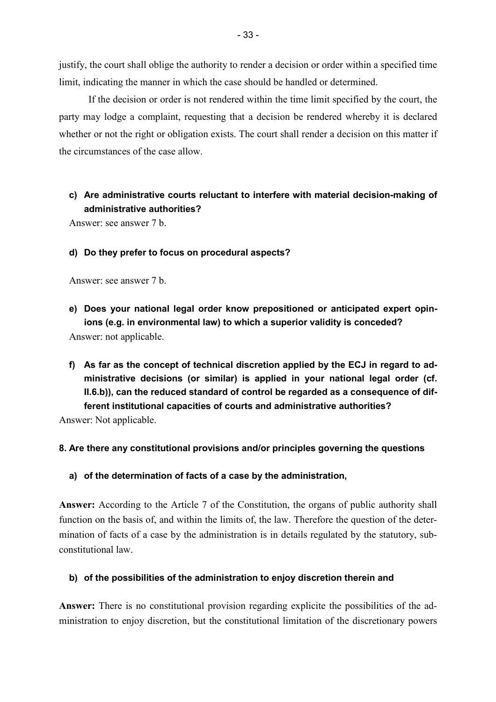justify, the court shall oblige the authority to render a decision or order within a specified time limit, indicating the manner in which the case should be handled or determined.

If the decision or order is not rendered within the time limit specified by the court, the party may lodge a complaint, requesting that a decision be rendered whereby it is declared whether or not the right or obligation exists. The court shall render a decision on this matter if the circumstances of the case allow.

# **c) Are administrative courts reluctant to interfere with material decision-making of administrative authorities?**

Answer: see answer 7 b.

## **d) Do they prefer to focus on procedural aspects?**

Answer: see answer 7 b.

- **e) Does your national legal order know prepositioned or anticipated expert opinions (e.g. in environmental law) to which a superior validity is conceded?**  Answer: not applicable.
- **f) As far as the concept of technical discretion applied by the ECJ in regard to administrative decisions (or similar) is applied in your national legal order (cf. II.6.b)), can the reduced standard of control be regarded as a consequence of different institutional capacities of courts and administrative authorities?**

Answer: Not applicable.

## **8. Are there any constitutional provisions and/or principles governing the questions**

**a) of the determination of facts of a case by the administration,** 

**Answer:** According to the Article 7 of the Constitution, the organs of public authority shall function on the basis of, and within the limits of, the law. Therefore the question of the determination of facts of a case by the administration is in details regulated by the statutory, subconstitutional law.

### **b) of the possibilities of the administration to enjoy discretion therein and**

**Answer:** There is no constitutional provision regarding explicite the possibilities of the administration to enjoy discretion, but the constitutional limitation of the discretionary powers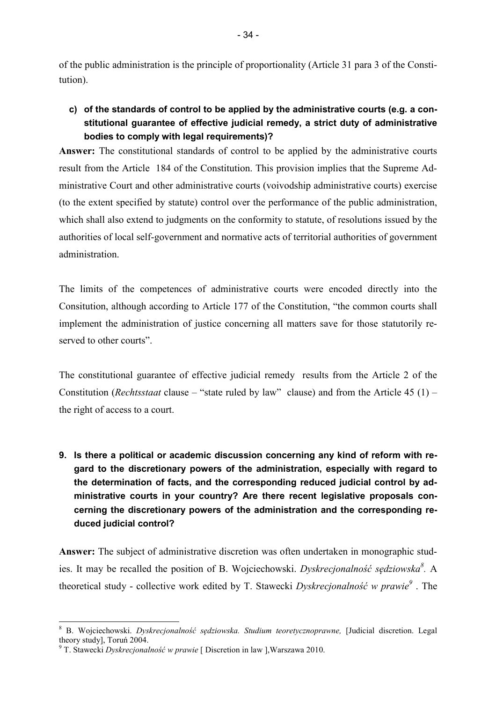of the public administration is the principle of proportionality (Article 31 para 3 of the Constitution).

**c) of the standards of control to be applied by the administrative courts (e.g. a constitutional guarantee of effective judicial remedy, a strict duty of administrative bodies to comply with legal requirements)?** 

**Answer:** The constitutional standards of control to be applied by the administrative courts result from the Article 184 of the Constitution. This provision implies that the Supreme Administrative Court and other administrative courts (voivodship administrative courts) exercise (to the extent specified by statute) control over the performance of the public administration, which shall also extend to judgments on the conformity to statute, of resolutions issued by the authorities of local self-government and normative acts of territorial authorities of government administration.

The limits of the competences of administrative courts were encoded directly into the Consitution, although according to Article 177 of the Constitution, "the common courts shall implement the administration of justice concerning all matters save for those statutorily reserved to other courts".

The constitutional guarantee of effective judicial remedy results from the Article 2 of the Constitution (*Rechtsstaat* clause – "state ruled by law" clause) and from the Article 45 (1) – the right of access to a court.

**9. Is there a political or academic discussion concerning any kind of reform with regard to the discretionary powers of the administration, especially with regard to the determination of facts, and the corresponding reduced judicial control by administrative courts in your country? Are there recent legislative proposals concerning the discretionary powers of the administration and the corresponding reduced judicial control?** 

**Answer:** The subject of administrative discretion was often undertaken in monographic studies. It may be recalled the position of B. Wojciechowski. *Dyskrecjonalność sędziowska<sup>8</sup> .* A theoretical study - collective work edited by T. Stawecki *Dyskrecjonalność w prawie<sup>9</sup>* . The

l

<sup>8</sup> B. Wojciechowski. *Dyskrecjonalność sędziowska. Studium teoretycznoprawne,* [Judicial discretion. Legal theory study], Toruń 2004.

<sup>9</sup> T. Stawecki *Dyskrecjonalność w prawie* [ Discretion in law ],Warszawa 2010.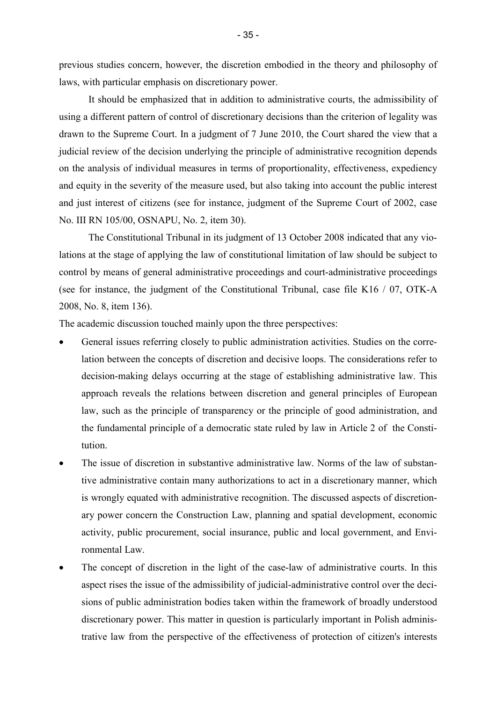previous studies concern, however, the discretion embodied in the theory and philosophy of laws, with particular emphasis on discretionary power.

It should be emphasized that in addition to administrative courts, the admissibility of using a different pattern of control of discretionary decisions than the criterion of legality was drawn to the Supreme Court. In a judgment of 7 June 2010, the Court shared the view that a judicial review of the decision underlying the principle of administrative recognition depends on the analysis of individual measures in terms of proportionality, effectiveness, expediency and equity in the severity of the measure used, but also taking into account the public interest and just interest of citizens (see for instance, judgment of the Supreme Court of 2002, case No. III RN 105/00, OSNAPU, No. 2, item 30).

The Constitutional Tribunal in its judgment of 13 October 2008 indicated that any violations at the stage of applying the law of constitutional limitation of law should be subject to control by means of general administrative proceedings and court-administrative proceedings (see for instance, the judgment of the Constitutional Tribunal, case file K16 / 07, OTK-A 2008, No. 8, item 136).

The academic discussion touched mainly upon the three perspectives:

- General issues referring closely to public administration activities. Studies on the correlation between the concepts of discretion and decisive loops. The considerations refer to decision-making delays occurring at the stage of establishing administrative law. This approach reveals the relations between discretion and general principles of European law, such as the principle of transparency or the principle of good administration, and the fundamental principle of a democratic state ruled by law in Article 2 of the Constitution.
- The issue of discretion in substantive administrative law. Norms of the law of substantive administrative contain many authorizations to act in a discretionary manner, which is wrongly equated with administrative recognition. The discussed aspects of discretionary power concern the Construction Law, planning and spatial development, economic activity, public procurement, social insurance, public and local government, and Environmental Law.
- The concept of discretion in the light of the case-law of administrative courts. In this aspect rises the issue of the admissibility of judicial-administrative control over the decisions of public administration bodies taken within the framework of broadly understood discretionary power. This matter in question is particularly important in Polish administrative law from the perspective of the effectiveness of protection of citizen's interests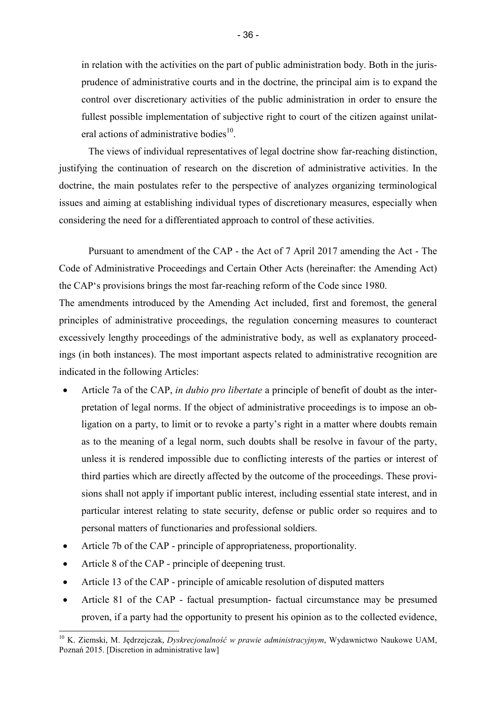in relation with the activities on the part of public administration body. Both in the jurisprudence of administrative courts and in the doctrine, the principal aim is to expand the control over discretionary activities of the public administration in order to ensure the fullest possible implementation of subjective right to court of the citizen against unilateral actions of administrative bodies $^{10}$ .

The views of individual representatives of legal doctrine show far-reaching distinction, justifying the continuation of research on the discretion of administrative activities. In the doctrine, the main postulates refer to the perspective of analyzes organizing terminological issues and aiming at establishing individual types of discretionary measures, especially when considering the need for a differentiated approach to control of these activities.

Pursuant to amendment of the CAP - the Act of 7 April 2017 amending the Act - The Code of Administrative Proceedings and Certain Other Acts (hereinafter: the Amending Act) the CAP's provisions brings the most far-reaching reform of the Code since 1980.

The amendments introduced by the Amending Act included, first and foremost, the general principles of administrative proceedings, the regulation concerning measures to counteract excessively lengthy proceedings of the administrative body, as well as explanatory proceedings (in both instances). The most important aspects related to administrative recognition are indicated in the following Articles:

- Article 7a of the CAP, *in dubio pro libertate* a principle of benefit of doubt as the interpretation of legal norms. If the object of administrative proceedings is to impose an obligation on a party, to limit or to revoke a party's right in a matter where doubts remain as to the meaning of a legal norm, such doubts shall be resolve in favour of the party, unless it is rendered impossible due to conflicting interests of the parties or interest of third parties which are directly affected by the outcome of the proceedings. These provisions shall not apply if important public interest, including essential state interest, and in particular interest relating to state security, defense or public order so requires and to personal matters of functionaries and professional soldiers.
- Article 7b of the CAP principle of appropriateness, proportionality.
- Article 8 of the CAP principle of deepening trust.

l

- Article 13 of the CAP principle of amicable resolution of disputed matters
- Article 81 of the CAP factual presumption- factual circumstance may be presumed proven, if a party had the opportunity to present his opinion as to the collected evidence,

<sup>10</sup> K. Ziemski, M. Jędrzejczak, *Dyskrecjonalność w prawie administracyjnym*, Wydawnictwo Naukowe UAM, Poznań 2015. [Discretion in administrative law]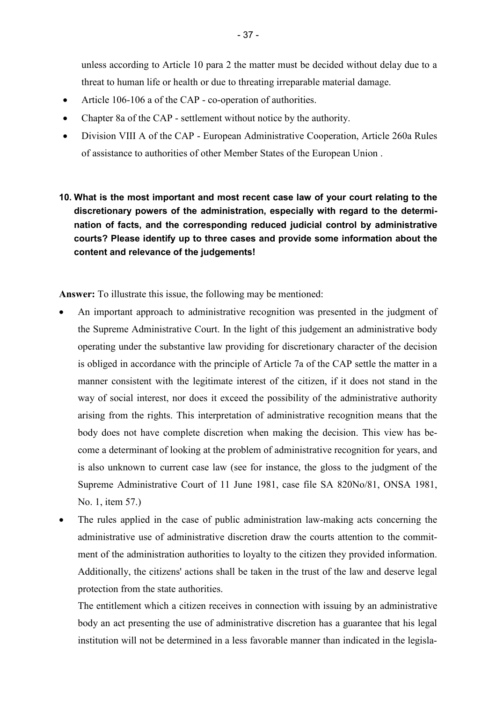unless according to Article 10 para 2 the matter must be decided without delay due to a threat to human life or health or due to threating irreparable material damage.

- Article 106-106 a of the CAP co-operation of authorities.
- Chapter 8a of the CAP settlement without notice by the authority.
- Division VIII A of the CAP European Administrative Cooperation, Article 260a Rules of assistance to authorities of other Member States of the European Union .
- **10. What is the most important and most recent case law of your court relating to the discretionary powers of the administration, especially with regard to the determination of facts, and the corresponding reduced judicial control by administrative courts? Please identify up to three cases and provide some information about the content and relevance of the judgements!**

**Answer:** To illustrate this issue, the following may be mentioned:

- An important approach to administrative recognition was presented in the judgment of the Supreme Administrative Court. In the light of this judgement an administrative body operating under the substantive law providing for discretionary character of the decision is obliged in accordance with the principle of Article 7a of the CAP settle the matter in a manner consistent with the legitimate interest of the citizen, if it does not stand in the way of social interest, nor does it exceed the possibility of the administrative authority arising from the rights. This interpretation of administrative recognition means that the body does not have complete discretion when making the decision. This view has become a determinant of looking at the problem of administrative recognition for years, and is also unknown to current case law (see for instance, the gloss to the judgment of the Supreme Administrative Court of 11 June 1981, case file SA 820No/81, ONSA 1981, No. 1, item 57.)
- The rules applied in the case of public administration law-making acts concerning the administrative use of administrative discretion draw the courts attention to the commitment of the administration authorities to loyalty to the citizen they provided information. Additionally, the citizens' actions shall be taken in the trust of the law and deserve legal protection from the state authorities.

The entitlement which a citizen receives in connection with issuing by an administrative body an act presenting the use of administrative discretion has a guarantee that his legal institution will not be determined in a less favorable manner than indicated in the legisla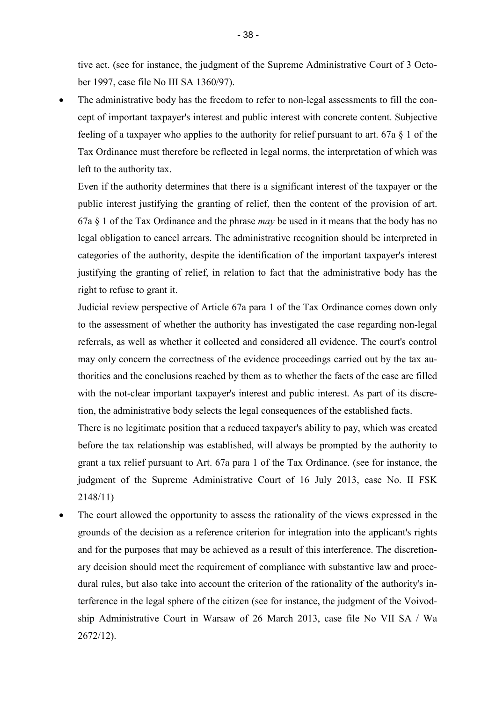tive act. (see for instance, the judgment of the Supreme Administrative Court of 3 October 1997, case file No III SA 1360/97).

• The administrative body has the freedom to refer to non-legal assessments to fill the concept of important taxpayer's interest and public interest with concrete content. Subjective feeling of a taxpayer who applies to the authority for relief pursuant to art. 67a § 1 of the Tax Ordinance must therefore be reflected in legal norms, the interpretation of which was left to the authority tax.

Even if the authority determines that there is a significant interest of the taxpayer or the public interest justifying the granting of relief, then the content of the provision of art. 67a § 1 of the Tax Ordinance and the phrase *may* be used in it means that the body has no legal obligation to cancel arrears. The administrative recognition should be interpreted in categories of the authority, despite the identification of the important taxpayer's interest justifying the granting of relief, in relation to fact that the administrative body has the right to refuse to grant it.

Judicial review perspective of Article 67a para 1 of the Tax Ordinance comes down only to the assessment of whether the authority has investigated the case regarding non-legal referrals, as well as whether it collected and considered all evidence. The court's control may only concern the correctness of the evidence proceedings carried out by the tax authorities and the conclusions reached by them as to whether the facts of the case are filled with the not-clear important taxpayer's interest and public interest. As part of its discretion, the administrative body selects the legal consequences of the established facts.

There is no legitimate position that a reduced taxpayer's ability to pay, which was created before the tax relationship was established, will always be prompted by the authority to grant a tax relief pursuant to Art. 67a para 1 of the Tax Ordinance. (see for instance, the judgment of the Supreme Administrative Court of 16 July 2013, case No. II FSK 2148/11)

• The court allowed the opportunity to assess the rationality of the views expressed in the grounds of the decision as a reference criterion for integration into the applicant's rights and for the purposes that may be achieved as a result of this interference. The discretionary decision should meet the requirement of compliance with substantive law and procedural rules, but also take into account the criterion of the rationality of the authority's interference in the legal sphere of the citizen (see for instance, the judgment of the Voivodship Administrative Court in Warsaw of 26 March 2013, case file No VII SA / Wa 2672/12).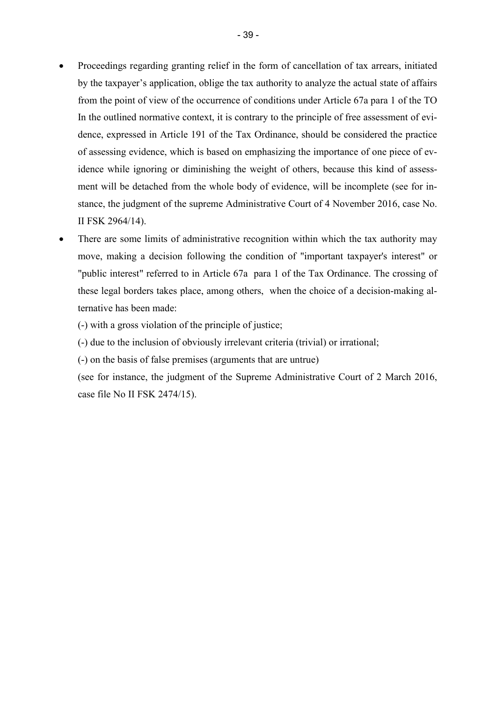- Proceedings regarding granting relief in the form of cancellation of tax arrears, initiated by the taxpayer's application, oblige the tax authority to analyze the actual state of affairs from the point of view of the occurrence of conditions under Article 67a para 1 of the TO In the outlined normative context, it is contrary to the principle of free assessment of evidence, expressed in Article 191 of the Tax Ordinance, should be considered the practice of assessing evidence, which is based on emphasizing the importance of one piece of evidence while ignoring or diminishing the weight of others, because this kind of assessment will be detached from the whole body of evidence, will be incomplete (see for instance, the judgment of the supreme Administrative Court of 4 November 2016, case No. II FSK 2964/14).
- There are some limits of administrative recognition within which the tax authority may move, making a decision following the condition of "important taxpayer's interest" or "public interest" referred to in Article 67a para 1 of the Tax Ordinance. The crossing of these legal borders takes place, among others, when the choice of a decision-making alternative has been made:
	- (-) with a gross violation of the principle of justice;
	- (-) due to the inclusion of obviously irrelevant criteria (trivial) or irrational;
	- (-) on the basis of false premises (arguments that are untrue)
	- (see for instance, the judgment of the Supreme Administrative Court of 2 March 2016, case file No II FSK 2474/15).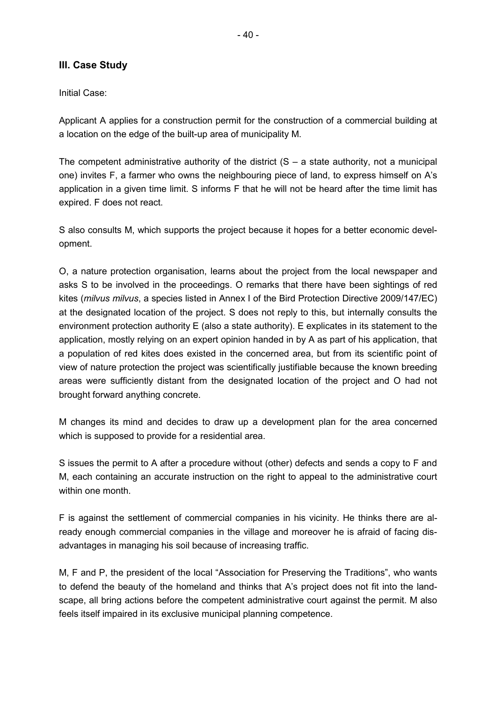## **III. Case Study**

Initial Case:

Applicant A applies for a construction permit for the construction of a commercial building at a location on the edge of the built-up area of municipality M.

The competent administrative authority of the district  $(S - a)$  state authority, not a municipal one) invites F, a farmer who owns the neighbouring piece of land, to express himself on A's application in a given time limit. S informs F that he will not be heard after the time limit has expired. F does not react.

S also consults M, which supports the project because it hopes for a better economic development.

O, a nature protection organisation, learns about the project from the local newspaper and asks S to be involved in the proceedings. O remarks that there have been sightings of red kites (*milvus milvus*, a species listed in Annex I of the Bird Protection Directive 2009/147/EC) at the designated location of the project. S does not reply to this, but internally consults the environment protection authority E (also a state authority). E explicates in its statement to the application, mostly relying on an expert opinion handed in by A as part of his application, that a population of red kites does existed in the concerned area, but from its scientific point of view of nature protection the project was scientifically justifiable because the known breeding areas were sufficiently distant from the designated location of the project and O had not brought forward anything concrete.

M changes its mind and decides to draw up a development plan for the area concerned which is supposed to provide for a residential area.

S issues the permit to A after a procedure without (other) defects and sends a copy to F and M, each containing an accurate instruction on the right to appeal to the administrative court within one month.

F is against the settlement of commercial companies in his vicinity. He thinks there are already enough commercial companies in the village and moreover he is afraid of facing disadvantages in managing his soil because of increasing traffic.

M, F and P, the president of the local "Association for Preserving the Traditions", who wants to defend the beauty of the homeland and thinks that A's project does not fit into the landscape, all bring actions before the competent administrative court against the permit. M also feels itself impaired in its exclusive municipal planning competence.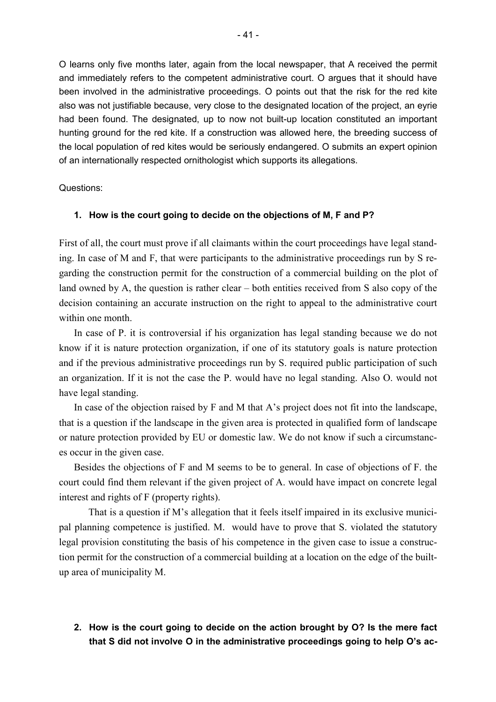O learns only five months later, again from the local newspaper, that A received the permit and immediately refers to the competent administrative court. O argues that it should have been involved in the administrative proceedings. O points out that the risk for the red kite also was not justifiable because, very close to the designated location of the project, an eyrie had been found. The designated, up to now not built-up location constituted an important hunting ground for the red kite. If a construction was allowed here, the breeding success of the local population of red kites would be seriously endangered. O submits an expert opinion of an internationally respected ornithologist which supports its allegations.

Questions:

#### **1. How is the court going to decide on the objections of M, F and P?**

First of all, the court must prove if all claimants within the court proceedings have legal standing. In case of M and F, that were participants to the administrative proceedings run by S regarding the construction permit for the construction of a commercial building on the plot of land owned by A, the question is rather clear – both entities received from S also copy of the decision containing an accurate instruction on the right to appeal to the administrative court within one month.

In case of P. it is controversial if his organization has legal standing because we do not know if it is nature protection organization, if one of its statutory goals is nature protection and if the previous administrative proceedings run by S. required public participation of such an organization. If it is not the case the P. would have no legal standing. Also O. would not have legal standing.

In case of the objection raised by F and M that A's project does not fit into the landscape, that is a question if the landscape in the given area is protected in qualified form of landscape or nature protection provided by EU or domestic law. We do not know if such a circumstances occur in the given case.

Besides the objections of F and M seems to be to general. In case of objections of F. the court could find them relevant if the given project of A. would have impact on concrete legal interest and rights of F (property rights).

That is a question if M's allegation that it feels itself impaired in its exclusive municipal planning competence is justified. M. would have to prove that S. violated the statutory legal provision constituting the basis of his competence in the given case to issue a construction permit for the construction of a commercial building at a location on the edge of the builtup area of municipality M.

## **2. How is the court going to decide on the action brought by O? Is the mere fact that S did not involve O in the administrative proceedings going to help O's ac-**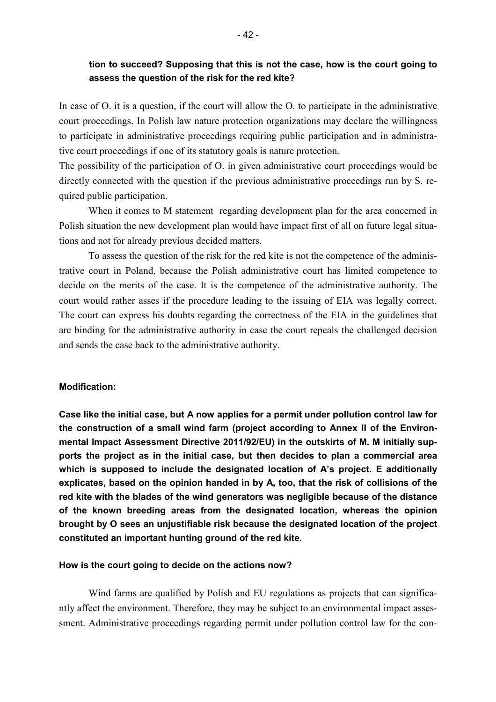# **tion to succeed? Supposing that this is not the case, how is the court going to assess the question of the risk for the red kite?**

In case of O. it is a question, if the court will allow the O. to participate in the administrative court proceedings. In Polish law nature protection organizations may declare the willingness to participate in administrative proceedings requiring public participation and in administrative court proceedings if one of its statutory goals is nature protection.

The possibility of the participation of O. in given administrative court proceedings would be directly connected with the question if the previous administrative proceedings run by S. required public participation.

When it comes to M statement regarding development plan for the area concerned in Polish situation the new development plan would have impact first of all on future legal situations and not for already previous decided matters.

 To assess the question of the risk for the red kite is not the competence of the administrative court in Poland, because the Polish administrative court has limited competence to decide on the merits of the case. It is the competence of the administrative authority. The court would rather asses if the procedure leading to the issuing of EIA was legally correct. The court can express his doubts regarding the correctness of the EIA in the guidelines that are binding for the administrative authority in case the court repeals the challenged decision and sends the case back to the administrative authority.

#### **Modification:**

**Case like the initial case, but A now applies for a permit under pollution control law for the construction of a small wind farm (project according to Annex II of the Environmental Impact Assessment Directive 2011/92/EU) in the outskirts of M. M initially supports the project as in the initial case, but then decides to plan a commercial area which is supposed to include the designated location of A's project. E additionally explicates, based on the opinion handed in by A, too, that the risk of collisions of the red kite with the blades of the wind generators was negligible because of the distance of the known breeding areas from the designated location, whereas the opinion brought by O sees an unjustifiable risk because the designated location of the project constituted an important hunting ground of the red kite.** 

#### **How is the court going to decide on the actions now?**

Wind farms are qualified by Polish and EU regulations as projects that can significantly affect the environment. Therefore, they may be subject to an environmental impact assessment. Administrative proceedings regarding permit under pollution control law for the con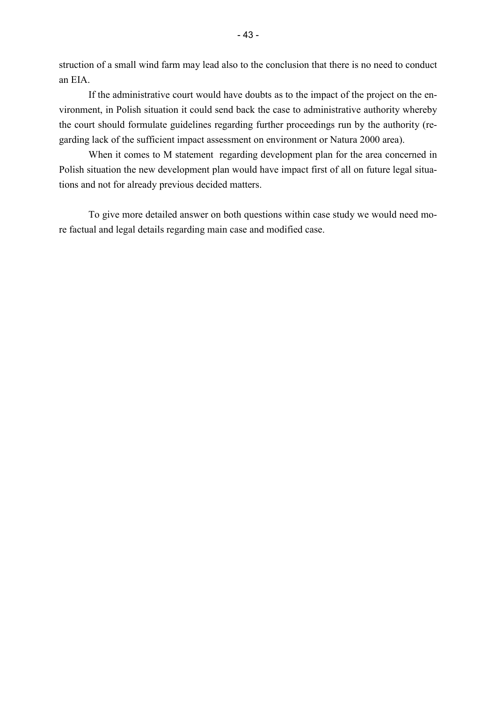struction of a small wind farm may lead also to the conclusion that there is no need to conduct an EIA.

If the administrative court would have doubts as to the impact of the project on the environment, in Polish situation it could send back the case to administrative authority whereby the court should formulate guidelines regarding further proceedings run by the authority (regarding lack of the sufficient impact assessment on environment or Natura 2000 area).

When it comes to M statement regarding development plan for the area concerned in Polish situation the new development plan would have impact first of all on future legal situations and not for already previous decided matters.

To give more detailed answer on both questions within case study we would need more factual and legal details regarding main case and modified case.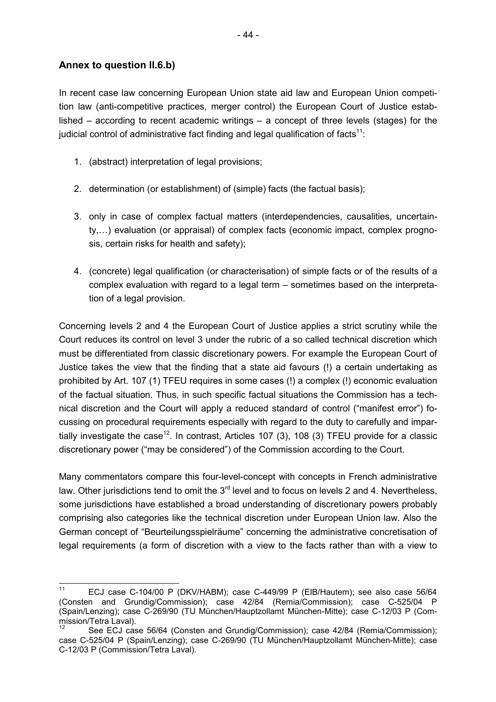# **Annex to question II.6.b)**

ı

In recent case law concerning European Union state aid law and European Union competition law (anti-competitive practices, merger control) the European Court of Justice established – according to recent academic writings – a concept of three levels (stages) for the judicial control of administrative fact finding and legal qualification of facts $11$ :

- 1. (abstract) interpretation of legal provisions;
- 2. determination (or establishment) of (simple) facts (the factual basis);
- 3. only in case of complex factual matters (interdependencies, causalities, uncertainty,...) evaluation (or appraisal) of complex facts (economic impact, complex prognosis, certain risks for health and safety);
- 4. (concrete) legal qualification (or characterisation) of simple facts or of the results of a complex evaluation with regard to a legal term – sometimes based on the interpretation of a legal provision.

Concerning levels 2 and 4 the European Court of Justice applies a strict scrutiny while the Court reduces its control on level 3 under the rubric of a so called technical discretion which must be differentiated from classic discretionary powers. For example the European Court of Justice takes the view that the finding that a state aid favours (!) a certain undertaking as prohibited by Art. 107 (1) TFEU requires in some cases (!) a complex (!) economic evaluation of the factual situation. Thus, in such specific factual situations the Commission has a technical discretion and the Court will apply a reduced standard of control ("manifest error") focussing on procedural requirements especially with regard to the duty to carefully and impartially investigate the case<sup>12</sup>. In contrast, Articles 107 (3), 108 (3) TFEU provide for a classic discretionary power ("may be considered") of the Commission according to the Court.

Many commentators compare this four-level-concept with concepts in French administrative law. Other jurisdictions tend to omit the  $3<sup>rd</sup>$  level and to focus on levels 2 and 4. Nevertheless, some jurisdictions have established a broad understanding of discretionary powers probably comprising also categories like the technical discretion under European Union law. Also the German concept of "Beurteilungsspielräume" concerning the administrative concretisation of legal requirements (a form of discretion with a view to the facts rather than with a view to

<sup>11</sup> ECJ case C-104/00 P (DKV/HABM); case C-449/99 P (EIB/Hautem); see also case 56/64 (Consten and Grundig/Commission); case 42/84 (Remia/Commission); case C-525/04 P (Spain/Lenzing); case C-269/90 (TU München/Hauptzollamt München-Mitte); case C-12/03 P (Commission/Tetra Laval).

See ECJ case 56/64 (Consten and Grundig/Commission); case 42/84 (Remia/Commission); case C-525/04 P (Spain/Lenzing); case C-269/90 (TU München/Hauptzollamt München-Mitte); case C-12/03 P (Commission/Tetra Laval).